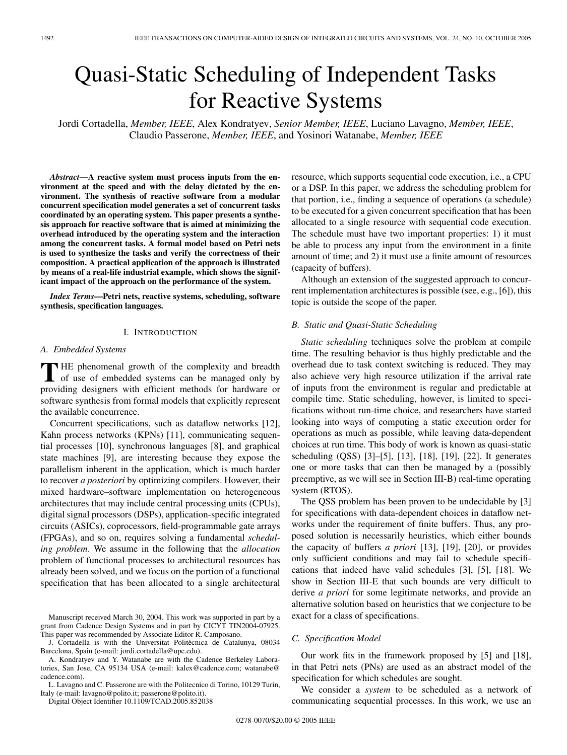# Quasi-Static Scheduling of Independent Tasks for Reactive Systems

Jordi Cortadella, *Member, IEEE*, Alex Kondratyev, *Senior Member, IEEE*, Luciano Lavagno, *Member, IEEE*, Claudio Passerone, *Member, IEEE*, and Yosinori Watanabe, *Member, IEEE*

*Abstract***—A reactive system must process inputs from the environment at the speed and with the delay dictated by the environment. The synthesis of reactive software from a modular concurrent specification model generates a set of concurrent tasks coordinated by an operating system. This paper presents a synthesis approach for reactive software that is aimed at minimizing the overhead introduced by the operating system and the interaction among the concurrent tasks. A formal model based on Petri nets is used to synthesize the tasks and verify the correctness of their composition. A practical application of the approach is illustrated by means of a real-life industrial example, which shows the significant impact of the approach on the performance of the system.**

*Index Terms***—Petri nets, reactive systems, scheduling, software synthesis, specification languages.**

#### I. INTRODUCTION

#### *A. Embedded Systems*

**T** HE phenomenal growth of the complexity and breadth of use of embedded systems can be managed only by providing designers with efficient methods for hardware or software synthesis from formal models that explicitly represent the available concurrence.

Concurrent specifications, such as dataflow networks [12], Kahn process networks (KPNs) [11], communicating sequential processes [10], synchronous languages [8], and graphical state machines [9], are interesting because they expose the parallelism inherent in the application, which is much harder to recover *a posteriori* by optimizing compilers. However, their mixed hardware–software implementation on heterogeneous architectures that may include central processing units (CPUs), digital signal processors (DSPs), application-specific integrated circuits (ASICs), coprocessors, field-programmable gate arrays (FPGAs), and so on, requires solving a fundamental *scheduling problem*. We assume in the following that the *allocation* problem of functional processes to architectural resources has already been solved, and we focus on the portion of a functional specification that has been allocated to a single architectural

Manuscript received March 30, 2004. This work was supported in part by a grant from Cadence Design Systems and in part by CICYT TIN2004-07925. This paper was recommended by Associate Editor R. Camposano.

A. Kondratyev and Y. Watanabe are with the Cadence Berkeley Laboratories, San Jose, CA 95134 USA (e-mail: kalex@cadence.com; watanabe@ cadence.com).

L. Lavagno and C. Passerone are with the Politecnico di Torino, 10129 Turin, Italy (e-mail: lavagno@polito.it; passerone@polito.it).

Digital Object Identifier 10.1109/TCAD.2005.852038

resource, which supports sequential code execution, i.e., a CPU or a DSP. In this paper, we address the scheduling problem for that portion, i.e., finding a sequence of operations (a schedule) to be executed for a given concurrent specification that has been allocated to a single resource with sequential code execution. The schedule must have two important properties: 1) it must be able to process any input from the environment in a finite amount of time; and 2) it must use a finite amount of resources (capacity of buffers).

Although an extension of the suggested approach to concurrent implementation architectures is possible (see, e.g., [6]), this topic is outside the scope of the paper.

# *B. Static and Quasi-Static Scheduling*

*Static scheduling* techniques solve the problem at compile time. The resulting behavior is thus highly predictable and the overhead due to task context switching is reduced. They may also achieve very high resource utilization if the arrival rate of inputs from the environment is regular and predictable at compile time. Static scheduling, however, is limited to specifications without run-time choice, and researchers have started looking into ways of computing a static execution order for operations as much as possible, while leaving data-dependent choices at run time. This body of work is known as quasi-static scheduling (QSS) [3]–[5], [13], [18], [19], [22]. It generates one or more tasks that can then be managed by a (possibly preemptive, as we will see in Section III-B) real-time operating system (RTOS).

The QSS problem has been proven to be undecidable by [3] for specifications with data-dependent choices in dataflow networks under the requirement of finite buffers. Thus, any proposed solution is necessarily heuristics, which either bounds the capacity of buffers *a priori* [13], [19], [20], or provides only sufficient conditions and may fail to schedule specifications that indeed have valid schedules [3], [5], [18]. We show in Section III-E that such bounds are very difficult to derive *a priori* for some legitimate networks, and provide an alternative solution based on heuristics that we conjecture to be exact for a class of specifications.

# *C. Specification Model*

Our work fits in the framework proposed by [5] and [18], in that Petri nets (PNs) are used as an abstract model of the specification for which schedules are sought.

We consider a *system* to be scheduled as a network of communicating sequential processes. In this work, we use an

J. Cortadella is with the Universitat Politècnica de Catalunya, 08034 Barcelona, Spain (e-mail: jordi.cortadella@upc.edu).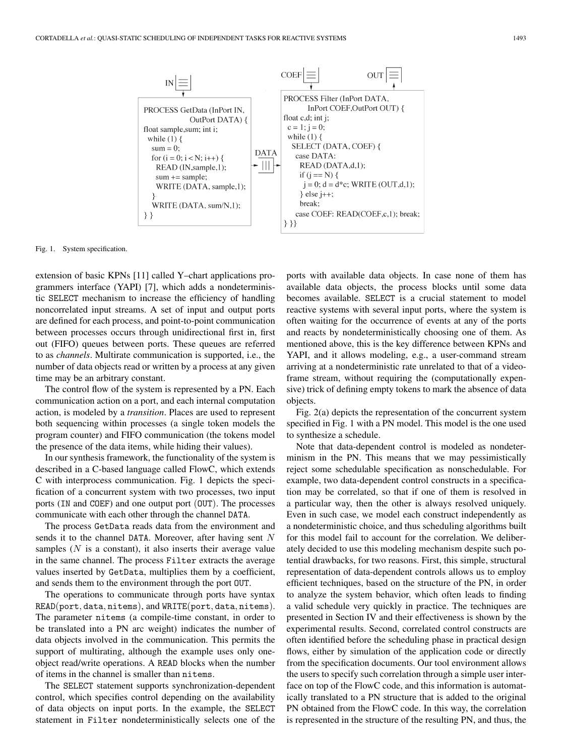

Fig. 1. System specification.

extension of basic KPNs [11] called Y–chart applications programmers interface (YAPI) [7], which adds a nondeterministic SELECT mechanism to increase the efficiency of handling noncorrelated input streams. A set of input and output ports are defined for each process, and point-to-point communication between processes occurs through unidirectional first in, first out (FIFO) queues between ports. These queues are referred to as *channels*. Multirate communication is supported, i.e., the number of data objects read or written by a process at any given time may be an arbitrary constant.

The control flow of the system is represented by a PN. Each communication action on a port, and each internal computation action, is modeled by a *transition*. Places are used to represent both sequencing within processes (a single token models the program counter) and FIFO communication (the tokens model the presence of the data items, while hiding their values).

In our synthesis framework, the functionality of the system is described in a C-based language called FlowC, which extends C with interprocess communication. Fig. 1 depicts the specification of a concurrent system with two processes, two input ports (IN and COEF) and one output port (OUT). The processes communicate with each other through the channel DATA.

The process GetData reads data from the environment and sends it to the channel DATA. Moreover, after having sent  $N$ samples  $(N$  is a constant), it also inserts their average value in the same channel. The process Filter extracts the average values inserted by GetData, multiplies them by a coefficient, and sends them to the environment through the port OUT.

The operations to communicate through ports have syntax READ(port, data, nitems), and WRITE(port, data, nitems). The parameter nitems (a compile-time constant, in order to be translated into a PN arc weight) indicates the number of data objects involved in the communication. This permits the support of multirating, although the example uses only oneobject read/write operations. A READ blocks when the number of items in the channel is smaller than nitems.

The SELECT statement supports synchronization-dependent control, which specifies control depending on the availability of data objects on input ports. In the example, the SELECT statement in Filter nondeterministically selects one of the

ports with available data objects. In case none of them has available data objects, the process blocks until some data becomes available. SELECT is a crucial statement to model reactive systems with several input ports, where the system is often waiting for the occurrence of events at any of the ports and reacts by nondeterministically choosing one of them. As mentioned above, this is the key difference between KPNs and YAPI, and it allows modeling, e.g., a user-command stream arriving at a nondeterministic rate unrelated to that of a videoframe stream, without requiring the (computationally expensive) trick of defining empty tokens to mark the absence of data objects.

Fig. 2(a) depicts the representation of the concurrent system specified in Fig. 1 with a PN model. This model is the one used to synthesize a schedule.

Note that data-dependent control is modeled as nondeterminism in the PN. This means that we may pessimistically reject some schedulable specification as nonschedulable. For example, two data-dependent control constructs in a specification may be correlated, so that if one of them is resolved in a particular way, then the other is always resolved uniquely. Even in such case, we model each construct independently as a nondeterministic choice, and thus scheduling algorithms built for this model fail to account for the correlation. We deliberately decided to use this modeling mechanism despite such potential drawbacks, for two reasons. First, this simple, structural representation of data-dependent controls allows us to employ efficient techniques, based on the structure of the PN, in order to analyze the system behavior, which often leads to finding a valid schedule very quickly in practice. The techniques are presented in Section IV and their effectiveness is shown by the experimental results. Second, correlated control constructs are often identified before the scheduling phase in practical design flows, either by simulation of the application code or directly from the specification documents. Our tool environment allows the users to specify such correlation through a simple user interface on top of the FlowC code, and this information is automatically translated to a PN structure that is added to the original PN obtained from the FlowC code. In this way, the correlation is represented in the structure of the resulting PN, and thus, the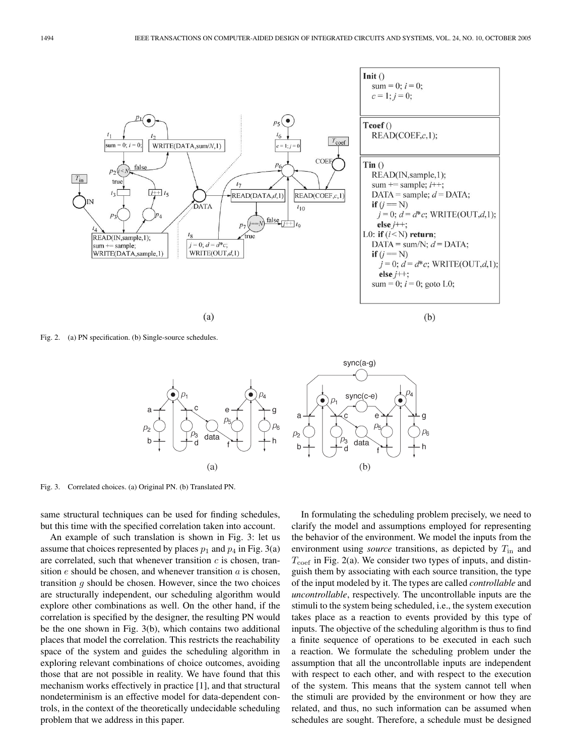

Fig. 2. (a) PN specification. (b) Single-source schedules.



Fig. 3. Correlated choices. (a) Original PN. (b) Translated PN.

same structural techniques can be used for finding schedules, but this time with the specified correlation taken into account.

An example of such translation is shown in Fig. 3: let us assume that choices represented by places  $p_1$  and  $p_4$  in Fig. 3(a) are correlated, such that whenever transition  $c$  is chosen, transition  $e$  should be chosen, and whenever transition  $a$  is chosen, transition  $q$  should be chosen. However, since the two choices are structurally independent, our scheduling algorithm would explore other combinations as well. On the other hand, if the correlation is specified by the designer, the resulting PN would be the one shown in Fig. 3(b), which contains two additional places that model the correlation. This restricts the reachability space of the system and guides the scheduling algorithm in exploring relevant combinations of choice outcomes, avoiding those that are not possible in reality. We have found that this mechanism works effectively in practice [1], and that structural nondeterminism is an effective model for data-dependent controls, in the context of the theoretically undecidable scheduling problem that we address in this paper.

In formulating the scheduling problem precisely, we need to clarify the model and assumptions employed for representing the behavior of the environment. We model the inputs from the environment using *source* transitions, as depicted by T<sub>in</sub> and  $T_{\text{coef}}$  in Fig. 2(a). We consider two types of inputs, and distinguish them by associating with each source transition, the type of the input modeled by it. The types are called *controllable* and *uncontrollable*, respectively. The uncontrollable inputs are the stimuli to the system being scheduled, i.e., the system execution takes place as a reaction to events provided by this type of inputs. The objective of the scheduling algorithm is thus to find a finite sequence of operations to be executed in each such a reaction. We formulate the scheduling problem under the assumption that all the uncontrollable inputs are independent with respect to each other, and with respect to the execution of the system. This means that the system cannot tell when the stimuli are provided by the environment or how they are related, and thus, no such information can be assumed when schedules are sought. Therefore, a schedule must be designed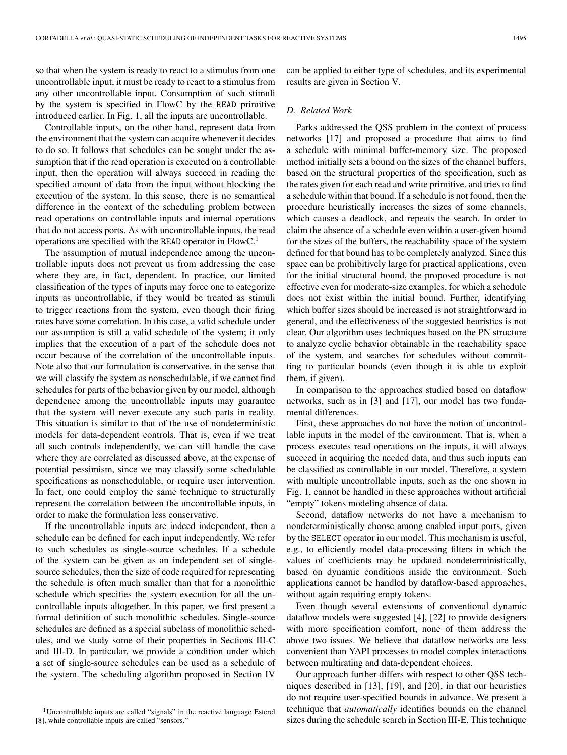so that when the system is ready to react to a stimulus from one uncontrollable input, it must be ready to react to a stimulus from any other uncontrollable input. Consumption of such stimuli by the system is specified in FlowC by the READ primitive introduced earlier. In Fig. 1, all the inputs are uncontrollable.

Controllable inputs, on the other hand, represent data from the environment that the system can acquire whenever it decides to do so. It follows that schedules can be sought under the assumption that if the read operation is executed on a controllable input, then the operation will always succeed in reading the specified amount of data from the input without blocking the execution of the system. In this sense, there is no semantical difference in the context of the scheduling problem between read operations on controllable inputs and internal operations that do not access ports. As with uncontrollable inputs, the read operations are specified with the READ operator in FlowC.<sup>1</sup>

The assumption of mutual independence among the uncontrollable inputs does not prevent us from addressing the case where they are, in fact, dependent. In practice, our limited classification of the types of inputs may force one to categorize inputs as uncontrollable, if they would be treated as stimuli to trigger reactions from the system, even though their firing rates have some correlation. In this case, a valid schedule under our assumption is still a valid schedule of the system; it only implies that the execution of a part of the schedule does not occur because of the correlation of the uncontrollable inputs. Note also that our formulation is conservative, in the sense that we will classify the system as nonschedulable, if we cannot find schedules for parts of the behavior given by our model, although dependence among the uncontrollable inputs may guarantee that the system will never execute any such parts in reality. This situation is similar to that of the use of nondeterministic models for data-dependent controls. That is, even if we treat all such controls independently, we can still handle the case where they are correlated as discussed above, at the expense of potential pessimism, since we may classify some schedulable specifications as nonschedulable, or require user intervention. In fact, one could employ the same technique to structurally represent the correlation between the uncontrollable inputs, in order to make the formulation less conservative.

If the uncontrollable inputs are indeed independent, then a schedule can be defined for each input independently. We refer to such schedules as single-source schedules. If a schedule of the system can be given as an independent set of singlesource schedules, then the size of code required for representing the schedule is often much smaller than that for a monolithic schedule which specifies the system execution for all the uncontrollable inputs altogether. In this paper, we first present a formal definition of such monolithic schedules. Single-source schedules are defined as a special subclass of monolithic schedules, and we study some of their properties in Sections III-C and III-D. In particular, we provide a condition under which a set of single-source schedules can be used as a schedule of the system. The scheduling algorithm proposed in Section IV

<sup>1</sup>Uncontrollable inputs are called "signals" in the reactive language Esterel [8], while controllable inputs are called "sensors."

can be applied to either type of schedules, and its experimental results are given in Section V.

# *D. Related Work*

Parks addressed the QSS problem in the context of process networks [17] and proposed a procedure that aims to find a schedule with minimal buffer-memory size. The proposed method initially sets a bound on the sizes of the channel buffers, based on the structural properties of the specification, such as the rates given for each read and write primitive, and tries to find a schedule within that bound. If a schedule is not found, then the procedure heuristically increases the sizes of some channels, which causes a deadlock, and repeats the search. In order to claim the absence of a schedule even within a user-given bound for the sizes of the buffers, the reachability space of the system defined for that bound has to be completely analyzed. Since this space can be prohibitively large for practical applications, even for the initial structural bound, the proposed procedure is not effective even for moderate-size examples, for which a schedule does not exist within the initial bound. Further, identifying which buffer sizes should be increased is not straightforward in general, and the effectiveness of the suggested heuristics is not clear. Our algorithm uses techniques based on the PN structure to analyze cyclic behavior obtainable in the reachability space of the system, and searches for schedules without committing to particular bounds (even though it is able to exploit them, if given).

In comparison to the approaches studied based on dataflow networks, such as in [3] and [17], our model has two fundamental differences.

First, these approaches do not have the notion of uncontrollable inputs in the model of the environment. That is, when a process executes read operations on the inputs, it will always succeed in acquiring the needed data, and thus such inputs can be classified as controllable in our model. Therefore, a system with multiple uncontrollable inputs, such as the one shown in Fig. 1, cannot be handled in these approaches without artificial "empty" tokens modeling absence of data.

Second, dataflow networks do not have a mechanism to nondeterministically choose among enabled input ports, given by the SELECT operator in our model. This mechanism is useful, e.g., to efficiently model data-processing filters in which the values of coefficients may be updated nondeterministically, based on dynamic conditions inside the environment. Such applications cannot be handled by dataflow-based approaches, without again requiring empty tokens.

Even though several extensions of conventional dynamic dataflow models were suggested [4], [22] to provide designers with more specification comfort, none of them address the above two issues. We believe that dataflow networks are less convenient than YAPI processes to model complex interactions between multirating and data-dependent choices.

Our approach further differs with respect to other QSS techniques described in [13], [19], and [20], in that our heuristics do not require user-specified bounds in advance. We present a technique that *automatically* identifies bounds on the channel sizes during the schedule search in Section III-E. This technique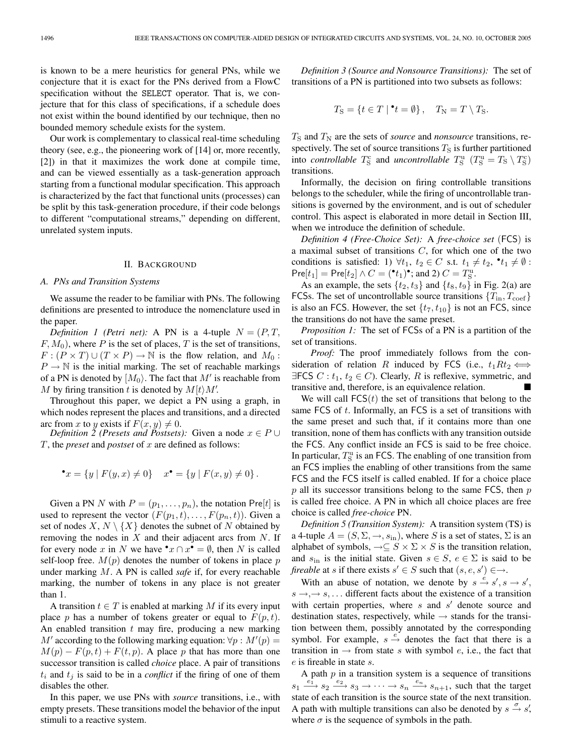is known to be a mere heuristics for general PNs, while we conjecture that it is exact for the PNs derived from a FlowC specification without the SELECT operator. That is, we conjecture that for this class of specifications, if a schedule does not exist within the bound identified by our technique, then no bounded memory schedule exists for the system.

Our work is complementary to classical real-time scheduling theory (see, e.g., the pioneering work of [14] or, more recently, [2]) in that it maximizes the work done at compile time, and can be viewed essentially as a task-generation approach starting from a functional modular specification. This approach is characterized by the fact that functional units (processes) can be split by this task-generation procedure, if their code belongs to different "computational streams," depending on different, unrelated system inputs.

#### II. BACKGROUND

# *A. PNs and Transition Systems*

We assume the reader to be familiar with PNs. The following definitions are presented to introduce the nomenclature used in the paper.

*Definition 1 (Petri net):* A PN is a 4-tuple  $N = (P, T, T)$  $F, M_0$ , where P is the set of places, T is the set of transitions,  $F: (P \times T) \cup (T \times P) \rightarrow \mathbb{N}$  is the flow relation, and  $M_0$ :  $P \rightarrow \mathbb{N}$  is the initial marking. The set of reachable markings of a PN is denoted by  $[M_0]$ . The fact that M' is reachable from M by firing transition t is denoted by  $M[t\rangle M'$ .

Throughout this paper, we depict a PN using a graph, in which nodes represent the places and transitions, and a directed

arc from x to y exists if  $F(x, y) \neq 0$ .<br>*Definition 2 (Presets and Postsets):* Given a node  $x \in P \cup$ T, the *preset* and *postset* of x are defined as follows:

$$
x = \{y \mid F(y, x) \neq 0\} \quad x^{\bullet} = \{y \mid F(x, y) \neq 0\}.
$$

Given a PN N with  $P = (p_1, \ldots, p_n)$ , the notation Pre[t] is used to represent the vector  $(F(p_1, t), \ldots, F(p_n, t))$ . Given a set of nodes  $X, N \setminus \{X\}$  denotes the subnet of N obtained by removing the nodes in  $X$  and their adjacent arcs from  $N$ . If for every node x in N we have  $\mathbf{r} \cap x^{\bullet} = \emptyset$ , then N is called self-loop free.  $M(p)$  denotes the number of tokens in place p under marking M. A PN is called *safe* if, for every reachable marking, the number of tokens in any place is not greater than 1.

A transition  $t \in T$  is enabled at marking M if its every input place p has a number of tokens greater or equal to  $F(p, t)$ . An enabled transition  $t$  may fire, producing a new marking M' according to the following marking equation:  $\forall p : M'(p) =$  $M(p) - F(p, t) + F(t, p)$ . A place p that has more than one successor transition is called *choice* place. A pair of transitions  $t_i$  and  $t_j$  is said to be in a *conflict* if the firing of one of them disables the other.

In this paper, we use PNs with *source* transitions, i.e., with empty presets. These transitions model the behavior of the input stimuli to a reactive system.

*Definition 3 (Source and Nonsource Transitions):* The set of transitions of a PN is partitioned into two subsets as follows:

$$
T_{\mathcal{S}} = \{ t \in T \mid \mathbf{t} = \emptyset \}, \quad T_{\mathcal{N}} = T \setminus T_{\mathcal{S}}.
$$

 $T<sub>S</sub>$  and  $T<sub>N</sub>$  are the sets of *source* and *nonsource* transitions, respectively. The set of source transitions  $T<sub>S</sub>$  is further partitioned into *controllable*  $T_S^c$  and *uncontrollable*  $T_S^u$  ( $T_S^u = T_S \setminus T_S^c$ ) transitions.

Informally, the decision on firing controllable transitions belongs to the scheduler, while the firing of uncontrollable transitions is governed by the environment, and is out of scheduler control. This aspect is elaborated in more detail in Section III, when we introduce the definition of schedule.

*Definition 4 (Free-Choice Set):* A *free-choice set* (FCS) is a maximal subset of transitions  $C$ , for which one of the two conditions is satisfied: 1)  $\forall t_1, t_2 \in C$  s.t.  $t_1 \neq t_2$ ,  $\cdot t_1 \neq \emptyset$ :  $Pre[t_1] = Pre[t_2] \wedge C = (\bullet t_1) \bullet$ ; and 2)  $C = T_S^{\text{u}}$ .

As an example, the sets  $\{t_2, t_3\}$  and  $\{t_8, t_9\}$  in Fig. 2(a) are FCSs. The set of uncontrollable source transitions  $\{T_{\text{in}}, T_{\text{coeff}}\}$ is also an FCS. However, the set  $\{t_7, t_{10}\}$  is not an FCS, since the transitions do not have the same preset.

*Proposition 1:* The set of FCSs of a PN is a partition of the set of transitions.

*Proof:* The proof immediately follows from the consideration of relation R induced by FCS (i.e.,  $t_1 R t_2 \Longleftrightarrow$  $\exists$ FCS  $C: t_1, t_2 \in C$ ). Clearly, R is reflexive, symmetric, and transitive and, therefore, is an equivalence relation.

We will call  $FCS(t)$  the set of transitions that belong to the same FCS of t. Informally, an FCS is a set of transitions with the same preset and such that, if it contains more than one transition, none of them has conflicts with any transition outside the FCS. Any conflict inside an FCS is said to be free choice. In particular,  $T_{\rm S}^{\rm u}$  is an FCS. The enabling of one transition from an FCS implies the enabling of other transitions from the same FCS and the FCS itself is called enabled. If for a choice place  $p$  all its successor transitions belong to the same FCS, then  $p$ is called free choice. A PN in which all choice places are free choice is called *free-choice* PN.

*Definition 5 (Transition System):* A transition system (TS) is a 4-tuple  $A = (S, \Sigma, \rightarrow, s_{in})$ , where S is a set of states,  $\Sigma$  is an alphabet of symbols,  $\rightarrow \subseteq S \times \Sigma \times S$  is the transition relation, and  $s_{\text{in}}$  is the initial state. Given  $s \in S$ ,  $e \in \Sigma$  is said to be *fireable* at *s* if there exists  $s' \in S$  such that  $(s, e, s') \in \rightarrow$ .

With an abuse of notation, we denote by  $s \stackrel{e}{\rightarrow} s'$ ,  $s \rightarrow s'$ ,  $s \rightarrow, \rightarrow s, \ldots$  different facts about the existence of a transition with certain properties, where  $s$  and  $s'$  denote source and destination states, respectively, while  $\rightarrow$  stands for the transition between them, possibly annotated by the corresponding symbol. For example,  $s \stackrel{e}{\rightarrow}$  denotes the fact that there is a transition in  $\rightarrow$  from state s with symbol e, i.e., the fact that e is fireable in state s.

A path  $p$  in a transition system is a sequence of transitions  $s_1 \xrightarrow{e_1} s_2 \xrightarrow{e_2} s_3 \rightarrow \cdots \rightarrow s_n \xrightarrow{e_n} s_{n+1}$ , such that the target state of each transition is the source state of the next transition. A path with multiple transitions can also be denoted by  $s \stackrel{\sigma}{\rightarrow} s'$ , where  $\sigma$  is the sequence of symbols in the path.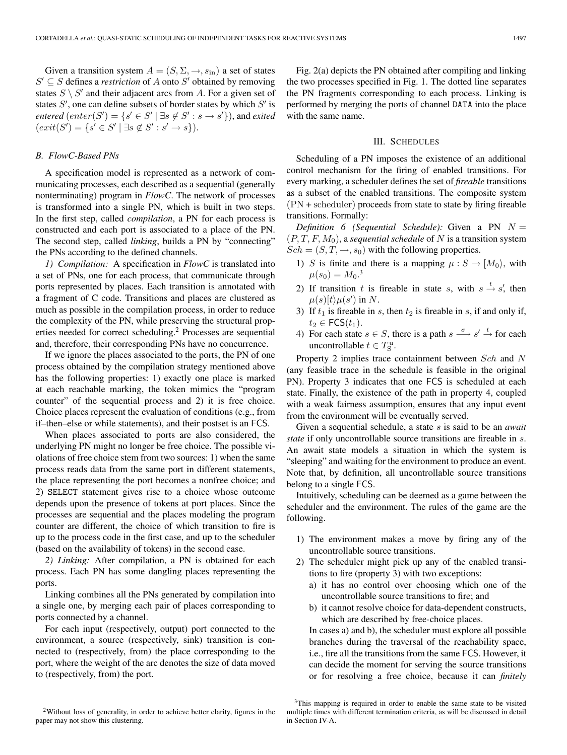Given a transition system  $A = (S, \Sigma, \rightarrow, s_{\text{in}})$  a set of states  $S' \subseteq S$  defines a *restriction* of A onto S' obtained by removing states  $S \setminus S'$  and their adjacent arcs from A. For a given set of states  $S'$ , one can define subsets of border states by which  $S'$  is *entered*  $(enter(S') = \{s' \in S' \mid \exists s \notin S' : s \rightarrow s'\})$ , and *exited*  $(exit(S') = \{s' \in S' \mid \exists s \notin S' : s' \to s\}).$ 

# *B. FlowC-Based PNs*

A specification model is represented as a network of communicating processes, each described as a sequential (generally nonterminating) program in *FlowC*. The network of processes is transformed into a single PN, which is built in two steps. In the first step, called *compilation*, a PN for each process is constructed and each port is associated to a place of the PN. The second step, called *linking*, builds a PN by "connecting" the PNs according to the defined channels.

*1) Compilation:* A specification in *FlowC* is translated into a set of PNs, one for each process, that communicate through ports represented by places. Each transition is annotated with a fragment of C code. Transitions and places are clustered as much as possible in the compilation process, in order to reduce the complexity of the PN, while preserving the structural properties needed for correct scheduling.<sup>2</sup> Processes are sequential and, therefore, their corresponding PNs have no concurrence.

If we ignore the places associated to the ports, the PN of one process obtained by the compilation strategy mentioned above has the following properties: 1) exactly one place is marked at each reachable marking, the token mimics the "program counter" of the sequential process and 2) it is free choice. Choice places represent the evaluation of conditions (e.g., from if–then–else or while statements), and their postset is an FCS.

When places associated to ports are also considered, the underlying PN might no longer be free choice. The possible violations of free choice stem from two sources: 1) when the same process reads data from the same port in different statements, the place representing the port becomes a nonfree choice; and 2) SELECT statement gives rise to a choice whose outcome depends upon the presence of tokens at port places. Since the processes are sequential and the places modeling the program counter are different, the choice of which transition to fire is up to the process code in the first case, and up to the scheduler (based on the availability of tokens) in the second case.

*2) Linking:* After compilation, a PN is obtained for each process. Each PN has some dangling places representing the ports.

Linking combines all the PNs generated by compilation into a single one, by merging each pair of places corresponding to ports connected by a channel.

For each input (respectively, output) port connected to the environment, a source (respectively, sink) transition is connected to (respectively, from) the place corresponding to the port, where the weight of the arc denotes the size of data moved to (respectively, from) the port.

Fig. 2(a) depicts the PN obtained after compiling and linking the two processes specified in Fig. 1. The dotted line separates the PN fragments corresponding to each process. Linking is performed by merging the ports of channel DATA into the place with the same name.

# III. SCHEDULES

Scheduling of a PN imposes the existence of an additional control mechanism for the firing of enabled transitions. For every marking, a scheduler defines the set of *fireable* transitions as a subset of the enabled transitions. The composite system (PN + scheduler) proceeds from state to state by firing fireable transitions. Formally:

*Definition 6 (Sequential Schedule):* Given a PN  $N =$  $(P, T, F, M_0)$ , a *sequential schedule* of N is a transition system  $Sch = (S, T, \rightarrow, s_0)$  with the following properties.

- 1) S is finite and there is a mapping  $\mu : S \to [M_0]$ , with  $\mu(s_0) = M_0^{3}$
- 2) If transition t is fireable in state s, with  $s \stackrel{t}{\rightarrow} s'$ , then  $\mu(s)[t]\mu(s')$  in N.
- 3) If  $t_1$  is fireable in s, then  $t_2$  is fireable in s, if and only if,  $t_2 \in \mathsf{FCS}(t_1)$ .
- 4) For each state  $s \in S$ , there is a path  $s \stackrel{\sigma}{\longrightarrow} s' \stackrel{t}{\rightarrow}$  for each uncontrollable  $t \in T_{\rm S}^{\rm u}$ .

Property 2 implies trace containment between Sch and N (any feasible trace in the schedule is feasible in the original PN). Property 3 indicates that one FCS is scheduled at each state. Finally, the existence of the path in property 4, coupled with a weak fairness assumption, ensures that any input event from the environment will be eventually served.

Given a sequential schedule, a state s is said to be an *await state* if only uncontrollable source transitions are fireable in s. An await state models a situation in which the system is "sleeping" and waiting for the environment to produce an event. Note that, by definition, all uncontrollable source transitions belong to a single FCS.

Intuitively, scheduling can be deemed as a game between the scheduler and the environment. The rules of the game are the following.

- 1) The environment makes a move by firing any of the uncontrollable source transitions.
- 2) The scheduler might pick up any of the enabled transitions to fire (property 3) with two exceptions:
	- a) it has no control over choosing which one of the uncontrollable source transitions to fire; and
	- b) it cannot resolve choice for data-dependent constructs, which are described by free-choice places.

In cases a) and b), the scheduler must explore all possible branches during the traversal of the reachability space, i.e., fire all the transitions from the same FCS. However, it can decide the moment for serving the source transitions or for resolving a free choice, because it can *finitely*

<sup>2</sup>Without loss of generality, in order to achieve better clarity, figures in the paper may not show this clustering.

<sup>&</sup>lt;sup>3</sup>This mapping is required in order to enable the same state to be visited multiple times with different termination criteria, as will be discussed in detail in Section IV-A.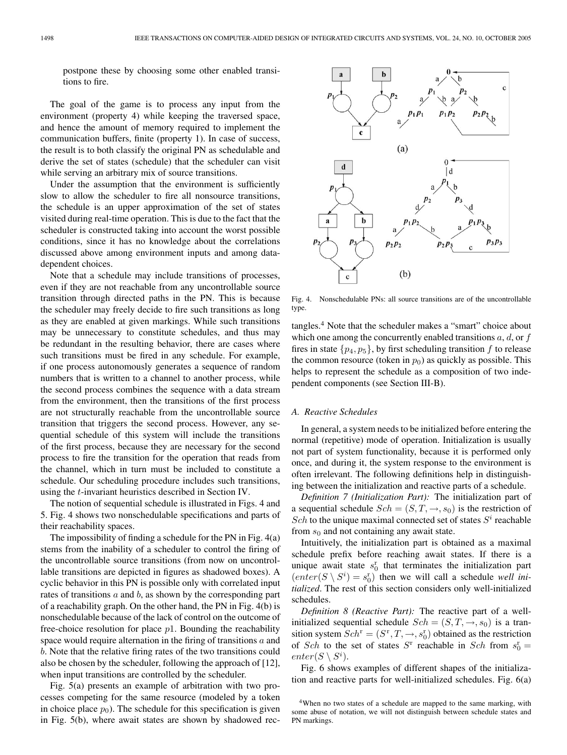postpone these by choosing some other enabled transitions to fire.

The goal of the game is to process any input from the environment (property 4) while keeping the traversed space, and hence the amount of memory required to implement the communication buffers, finite (property 1). In case of success, the result is to both classify the original PN as schedulable and derive the set of states (schedule) that the scheduler can visit while serving an arbitrary mix of source transitions.

Under the assumption that the environment is sufficiently slow to allow the scheduler to fire all nonsource transitions, the schedule is an upper approximation of the set of states visited during real-time operation. This is due to the fact that the scheduler is constructed taking into account the worst possible conditions, since it has no knowledge about the correlations discussed above among environment inputs and among datadependent choices.

Note that a schedule may include transitions of processes, even if they are not reachable from any uncontrollable source transition through directed paths in the PN. This is because the scheduler may freely decide to fire such transitions as long as they are enabled at given markings. While such transitions may be unnecessary to constitute schedules, and thus may be redundant in the resulting behavior, there are cases where such transitions must be fired in any schedule. For example, if one process autonomously generates a sequence of random numbers that is written to a channel to another process, while the second process combines the sequence with a data stream from the environment, then the transitions of the first process are not structurally reachable from the uncontrollable source transition that triggers the second process. However, any sequential schedule of this system will include the transitions of the first process, because they are necessary for the second process to fire the transition for the operation that reads from the channel, which in turn must be included to constitute a schedule. Our scheduling procedure includes such transitions, using the t-invariant heuristics described in Section IV.

The notion of sequential schedule is illustrated in Figs. 4 and 5. Fig. 4 shows two nonschedulable specifications and parts of their reachability spaces.

The impossibility of finding a schedule for the PN in Fig. 4(a) stems from the inability of a scheduler to control the firing of the uncontrollable source transitions (from now on uncontrollable transitions are depicted in figures as shadowed boxes). A cyclic behavior in this PN is possible only with correlated input rates of transitions  $a$  and  $b$ , as shown by the corresponding part of a reachability graph. On the other hand, the PN in Fig. 4(b) is nonschedulable because of the lack of control on the outcome of free-choice resolution for place  $p1$ . Bounding the reachability space would require alternation in the firing of transitions  $a$  and b. Note that the relative firing rates of the two transitions could also be chosen by the scheduler, following the approach of [12], when input transitions are controlled by the scheduler.

Fig. 5(a) presents an example of arbitration with two processes competing for the same resource (modeled by a token in choice place  $p_0$ ). The schedule for this specification is given in Fig. 5(b), where await states are shown by shadowed rec-



Fig. 4. Nonschedulable PNs: all source transitions are of the uncontrollable type.

tangles.<sup>4</sup> Note that the scheduler makes a "smart" choice about which one among the concurrently enabled transitions  $a, d, or f$ fires in state  $\{p_4, p_5\}$ , by first scheduling transition f to release the common resource (token in  $p_0$ ) as quickly as possible. This helps to represent the schedule as a composition of two independent components (see Section III-B).

## *A. Reactive Schedules*

In general, a system needs to be initialized before entering the normal (repetitive) mode of operation. Initialization is usually not part of system functionality, because it is performed only once, and during it, the system response to the environment is often irrelevant. The following definitions help in distinguishing between the initialization and reactive parts of a schedule.

*Definition 7 (Initialization Part):* The initialization part of a sequential schedule  $Sch = (S, T, \rightarrow, s_0)$  is the restriction of Sch to the unique maximal connected set of states  $S<sup>i</sup>$  reachable from  $s_0$  and not containing any await state.

Intuitively, the initialization part is obtained as a maximal schedule prefix before reaching await states. If there is a unique await state  $s_0^r$  that terminates the initialization part  $(enter(S \setminus S^i) = s_0^r)$  then we will call a schedule *well initialized*. The rest of this section considers only well-initialized schedules.

*Definition 8 (Reactive Part):* The reactive part of a wellinitialized sequential schedule  $Sch = (S, T, \rightarrow, s_0)$  is a transition system  $Sch^r = (S^r, T, \rightarrow, s_0^r)$  obtained as the restriction of Sch to the set of states  $S^r$  reachable in Sch from  $s_0^r =$  $enter(S \setminus S^i).$ 

Fig. 6 shows examples of different shapes of the initialization and reactive parts for well-initialized schedules. Fig. 6(a)

<sup>4</sup>When no two states of a schedule are mapped to the same marking, with some abuse of notation, we will not distinguish between schedule states and PN markings.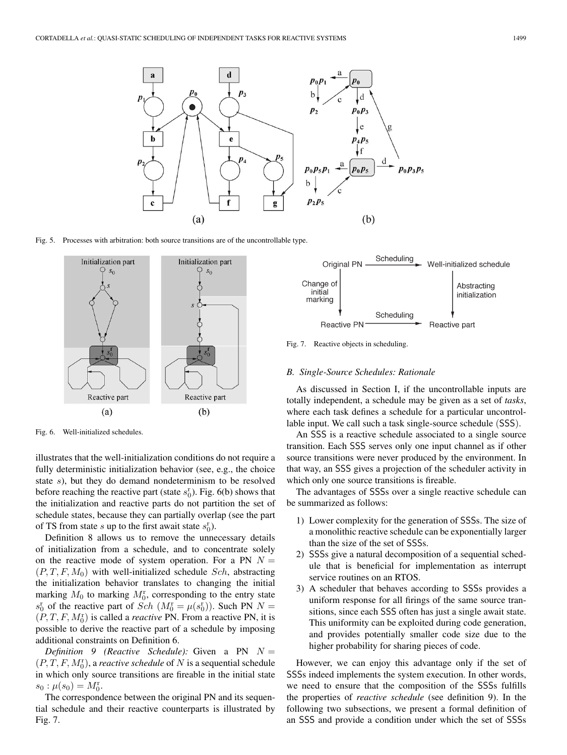

Fig. 5. Processes with arbitration: both source transitions are of the uncontrollable type.



Fig. 6. Well-initialized schedules.

illustrates that the well-initialization conditions do not require a fully deterministic initialization behavior (see, e.g., the choice state s), but they do demand nondeterminism to be resolved before reaching the reactive part (state  $s_0^r$ ). Fig. 6(b) shows that the initialization and reactive parts do not partition the set of schedule states, because they can partially overlap (see the part of TS from state s up to the first await state  $s_0^r$ ).

Definition 8 allows us to remove the unnecessary details of initialization from a schedule, and to concentrate solely on the reactive mode of system operation. For a PN  $N =$  $(P, T, F, M_0)$  with well-initialized schedule *Sch*, abstracting the initialization behavior translates to changing the initial marking  $M_0$  to marking  $M_0^r$ , corresponding to the entry state  $s_0^r$  of the reactive part of  $Sch$   $(M_0^r = \mu(s_0^r))$ . Such PN  $N =$  $(P, T, F, M_0^r)$  is called a *reactive* PN. From a reactive PN, it is possible to derive the reactive part of a schedule by imposing additional constraints on Definition 6.

*Definition 9 (Reactive Schedule):* Given a PN  $N =$  $(P, T, F, M_0^r)$ , a *reactive schedule* of N is a sequential schedule in which only source transitions are fireable in the initial state  $s_0: \mu(s_0) = M_0^{\rm r}.$ 

The correspondence between the original PN and its sequential schedule and their reactive counterparts is illustrated by Fig. 7.



Fig. 7. Reactive objects in scheduling.

## *B. Single-Source Schedules: Rationale*

As discussed in Section I, if the uncontrollable inputs are totally independent, a schedule may be given as a set of *tasks*, where each task defines a schedule for a particular uncontrollable input. We call such a task single-source schedule (SSS).

An SSS is a reactive schedule associated to a single source transition. Each SSS serves only one input channel as if other source transitions were never produced by the environment. In that way, an SSS gives a projection of the scheduler activity in which only one source transitions is fireable.

The advantages of SSSs over a single reactive schedule can be summarized as follows:

- 1) Lower complexity for the generation of SSSs. The size of a monolithic reactive schedule can be exponentially larger than the size of the set of SSSs.
- 2) SSSs give a natural decomposition of a sequential schedule that is beneficial for implementation as interrupt service routines on an RTOS.
- 3) A scheduler that behaves according to SSSs provides a uniform response for all firings of the same source transitions, since each SSS often has just a single await state. This uniformity can be exploited during code generation, and provides potentially smaller code size due to the higher probability for sharing pieces of code.

However, we can enjoy this advantage only if the set of SSSs indeed implements the system execution. In other words, we need to ensure that the composition of the SSSs fulfills the properties of *reactive schedule* (see definition 9). In the following two subsections, we present a formal definition of an SSS and provide a condition under which the set of SSSs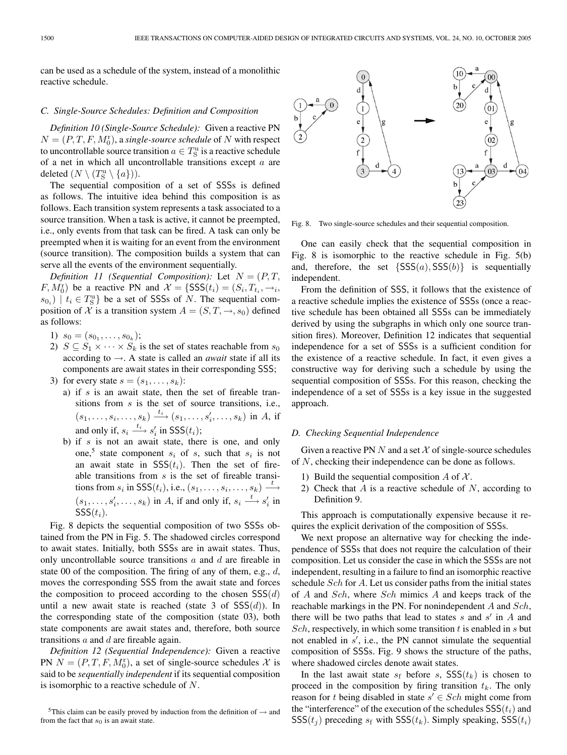can be used as a schedule of the system, instead of a monolithic reactive schedule.

# *C. Single-Source Schedules: Definition and Composition*

*Definition 10 (Single-Source Schedule):* Given a reactive PN  $N = (P, T, F, M_0^{\rm r})$ , a *single-source schedule* of N with respect to uncontrollable source transition  $a \in T_{\rm S}^{\rm u}$  is a reactive schedule of a net in which all uncontrollable transitions except  $a$  are deleted  $(N \setminus (T_{\rm S}^{\rm u} \setminus \{a\})).$ 

The sequential composition of a set of SSSs is defined as follows. The intuitive idea behind this composition is as follows. Each transition system represents a task associated to a source transition. When a task is active, it cannot be preempted, i.e., only events from that task can be fired. A task can only be preempted when it is waiting for an event from the environment (source transition). The composition builds a system that can serve all the events of the environment sequentially.

*Definition 11 (Sequential Composition):* Let  $N = (P, T, T)$  $F, M_0^{\rm r}$ ) be a reactive PN and  $\mathcal{X} = \{SSS(t_i) = (S_i, T_{t_i}, \rightarrow_i,$  $s_{0_i}$ ) |  $t_i \in T_S^{\text{u}}$ } be a set of SSSs of N. The sequential composition of X is a transition system  $A = (S, T, \rightarrow, s_0)$  defined as follows:

- 1)  $s_0 = (s_{0_1}, \ldots, s_{0_k});$
- 2)  $S \subseteq S_1 \times \cdots \times S_k$  is the set of states reachable from  $s_0$ according to →. A state is called an *await* state if all its components are await states in their corresponding SSS;
- 3) for every state  $s = (s_1, \ldots, s_k)$ :
	- a) if  $s$  is an await state, then the set of fireable transitions from  $s$  is the set of source transitions, i.e.,  $(s_1,\ldots,s_i,\ldots,s_k) \stackrel{t_i}{\longrightarrow} (s_1,\ldots,s_i',\ldots,s_k)$  in A, if and only if,  $s_i \xrightarrow{t_i} s'_i$  in SSS( $t_i$ );
	- b) if  $s$  is not an await state, there is one, and only one,<sup>5</sup> state component  $s_i$  of s, such that  $s_i$  is not an await state in  $SS(t_i)$ . Then the set of fireable transitions from  $s$  is the set of fireable transitions from  $s_i$  in SSS $(t_i)$ , i.e.,  $(s_1,\ldots,s_i,\ldots,s_k) \stackrel{t}{\longrightarrow}$  $(s_1, \ldots, s_i', \ldots, s_k)$  in A, if and only if,  $s_i \xrightarrow{t} s_i'$  in  $SSS(t_i)$ .

Fig. 8 depicts the sequential composition of two SSSs obtained from the PN in Fig. 5. The shadowed circles correspond to await states. Initially, both SSSs are in await states. Thus, only uncontrollable source transitions  $a$  and  $d$  are fireable in state 00 of the composition. The firing of any of them, e.g.,  $d$ , moves the corresponding SSS from the await state and forces the composition to proceed according to the chosen  $SS( d)$ until a new await state is reached (state 3 of  $SSS(d)$ ). In the corresponding state of the composition (state 03), both state components are await states and, therefore, both source transitions a and d are fireable again.

*Definition 12 (Sequential Independence):* Given a reactive PN  $N = (P, T, F, M_0^{\rm r})$ , a set of single-source schedules X is said to be *sequentially independent* if its sequential composition is isomorphic to a reactive schedule of N.



Fig. 8. Two single-source schedules and their sequential composition.

One can easily check that the sequential composition in Fig. 8 is isomorphic to the reactive schedule in Fig. 5(b) and, therefore, the set  $\{SSS(a), SSS(b)\}$  is sequentially independent.

From the definition of SSS, it follows that the existence of a reactive schedule implies the existence of SSSs (once a reactive schedule has been obtained all SSSs can be immediately derived by using the subgraphs in which only one source transition fires). Moreover, Definition 12 indicates that sequential independence for a set of SSSs is a sufficient condition for the existence of a reactive schedule. In fact, it even gives a constructive way for deriving such a schedule by using the sequential composition of SSSs. For this reason, checking the independence of a set of SSSs is a key issue in the suggested approach.

## *D. Checking Sequential Independence*

Given a reactive PN N and a set  $\mathcal X$  of single-source schedules of N, checking their independence can be done as follows.

- 1) Build the sequential composition  $A$  of  $X$ .
- 2) Check that  $A$  is a reactive schedule of  $N$ , according to Definition 9.

This approach is computationally expensive because it requires the explicit derivation of the composition of SSSs.

We next propose an alternative way for checking the independence of SSSs that does not require the calculation of their composition. Let us consider the case in which the SSSs are not independent, resulting in a failure to find an isomorphic reactive schedule Sch for A. Let us consider paths from the initial states of A and Sch, where Sch mimics A and keeps track of the reachable markings in the PN. For nonindependent A and Sch, there will be two paths that lead to states  $s$  and  $s'$  in  $A$  and Sch, respectively, in which some transition  $t$  is enabled in  $s$  but not enabled in  $s'$ , i.e., the PN cannot simulate the sequential composition of SSSs. Fig. 9 shows the structure of the paths, where shadowed circles denote await states.

In the last await state  $s_f$  before s,  $SSS(t_k)$  is chosen to proceed in the composition by firing transition  $t_k$ . The only reason for t being disabled in state  $s' \in Sch$  might come from the "interference" of the execution of the schedules  $SSS(t_i)$  and  $SSS(t_i)$  preceding  $s_f$  with  $SS(t_k)$ . Simply speaking,  $SSS(t_i)$ 

<sup>&</sup>lt;sup>5</sup>This claim can be easily proved by induction from the definition of  $\rightarrow$  and from the fact that  $s_0$  is an await state.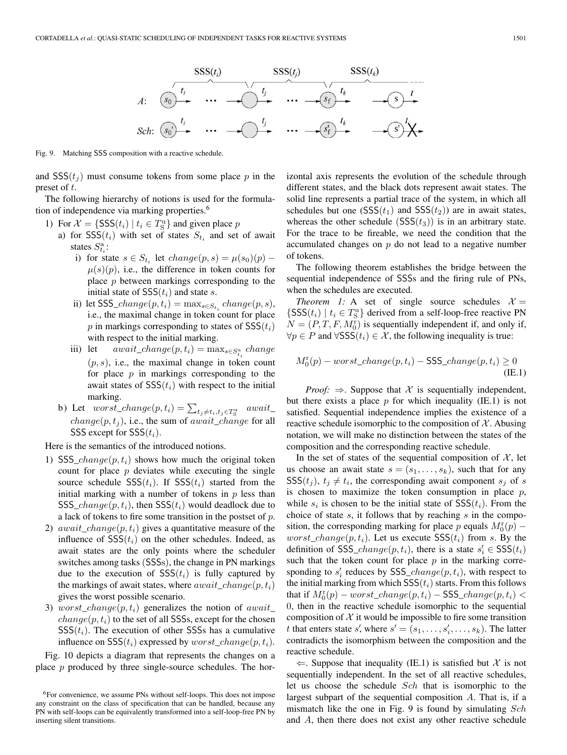

Fig. 9. Matching SSS composition with a reactive schedule.

and  $SSSt(t_i)$  must consume tokens from some place p in the preset of t.

The following hierarchy of notions is used for the formulation of independence via marking properties.<sup>6</sup>

- 1) For  $\mathcal{X} = \{SSS(t_i) | t_i \in T_S^u\}$  and given place p
	- a) for  $SSS(t_i)$  with set of states  $S_{t_i}$  and set of await states  $S_{t_i}^a$ :
		- i) for state  $s \in S_{t_i}$  let  $change(p, s) = \mu(s_0)(p)$   $\mu(s)(p)$ , i.e., the difference in token counts for place p between markings corresponding to the initial state of  $SSS(t_i)$  and state s.
		- ii) let  $SS\_change(p, t_i) = \max_{s \in S_{t_i}} change(p, s)$ , i.e., the maximal change in token count for place p in markings corresponding to states of  $SSS(t_i)$ with respect to the initial marking.
		- iii) let  $await\_change(p, t_i) = \max_{s \in S_{t_i}^a} change$  $(p, s)$ , i.e., the maximal change in token count for place  $p$  in markings corresponding to the await states of  $SS(t_i)$  with respect to the initial marking.
	- b) Let  $worst\_change(p, t_i) = \sum_{t_j \neq t_i, t_j \in T_S^u} \alpha wait\_$  $change(p, t_i)$ , i.e., the sum of *await\_change* for all SSS except for  $SSS(t_i)$ .

Here is the semantics of the introduced notions.

- 1) SSS\_change( $p, t_i$ ) shows how much the original token count for place  $p$  deviates while executing the single source schedule  $SS(t_i)$ . If  $SS(t_i)$  started from the initial marking with a number of tokens in  $p$  less than SSS  $change(p, t_i)$ , then SSS $(t_i)$  would deadlock due to a lack of tokens to fire some transition in the postset of p.
- 2) await\_change $(p, t_i)$  gives a quantitative measure of the influence of  $SSS(t_i)$  on the other schedules. Indeed, as await states are the only points where the scheduler switches among tasks (SSSs), the change in PN markings due to the execution of  $SSS(t_i)$  is fully captured by the markings of await states, where  $await\_change(p, t_i)$ gives the worst possible scenario.
- 3) worst\_change $(p, t_i)$  generalizes the notion of await\_  $change(p, t_i)$  to the set of all SSSs, except for the chosen  $SSS(t_i)$ . The execution of other SSSs has a cumulative influence on  $SSS(t_i)$  expressed by  $worst\_change(p, t_i)$ .

Fig. 10 depicts a diagram that represents the changes on a place  $p$  produced by three single-source schedules. The hor-

izontal axis represents the evolution of the schedule through different states, and the black dots represent await states. The solid line represents a partial trace of the system, in which all schedules but one  $(SSS(t<sub>1</sub>)$  and  $SSS(t<sub>2</sub>))$  are in await states, whereas the other schedule  $(SS(t<sub>3</sub>))$  is in an arbitrary state. For the trace to be fireable, we need the condition that the accumulated changes on  $p$  do not lead to a negative number of tokens.

The following theorem establishes the bridge between the sequential independence of SSSs and the firing rule of PNs, when the schedules are executed.

*Theorem 1:* A set of single source schedules  $\mathcal{X} =$  $\{SSS(t_i) | t_i \in T_S^{\text{u}}\}$  derived from a self-loop-free reactive PN  $N = (P, T, F, M_0^{\rm r})$  is sequentially independent if, and only if,  $∀p ∈ P$  and  $∀SS(t<sub>i</sub>) ∈ X$ , the following inequality is true:

$$
M_0^{\rm r}(p) - worst\_change(p, t_i) - SSS\_change(p, t_i) \ge 0
$$
\n(IE.1)

*Proof:*  $\Rightarrow$ . Suppose that X is sequentially independent, but there exists a place  $p$  for which inequality (IE.1) is not satisfied. Sequential independence implies the existence of a reactive schedule isomorphic to the composition of  $X$ . Abusing notation, we will make no distinction between the states of the composition and the corresponding reactive schedule.

In the set of states of the sequential composition of  $X$ , let us choose an await state  $s = (s_1, \ldots, s_k)$ , such that for any  $SSS(t_j), t_j \neq t_i$ , the corresponding await component  $s_j$  of s is chosen to maximize the token consumption in place  $p$ , while  $s_i$  is chosen to be the initial state of  $SS(t_i)$ . From the choice of state  $s$ , it follows that by reaching  $s$  in the composition, the corresponding marking for place p equals  $M_0^r(p)$  – *worst\_change(p,t<sub>i</sub>)*. Let us execute  $SS(t_i)$  from s. By the definition of SSS\_change(p, t<sub>i</sub>), there is a state  $s'_i \in SSS(t_i)$ such that the token count for place  $p$  in the marking corresponding to  $s_i'$  reduces by  $SSS_{\text{-}}change(p,t_i)$ , with respect to the initial marking from which  $SS(t_i)$  starts. From this follows that if  $M_0^{\mathrm{r}}(p) - worst\_change(p,t_i) - \mathsf{SSS\_change}(p,t_i) < 0$ 0, then in the reactive schedule isomorphic to the sequential composition of  $X$  it would be impossible to fire some transition t that enters state s', where  $s' = (s_1, \ldots, s'_i, \ldots, s_k)$ . The latter contradicts the isomorphism between the composition and the reactive schedule.

 $\Leftarrow$ . Suppose that inequality (IE.1) is satisfied but X is not sequentially independent. In the set of all reactive schedules, let us choose the schedule Sch that is isomorphic to the largest subpart of the sequential composition A. That is, if a mismatch like the one in Fig. 9 is found by simulating  $Sch$ and A, then there does not exist any other reactive schedule

<sup>6</sup>For convenience, we assume PNs without self-loops. This does not impose any constraint on the class of specification that can be handled, because any PN with self-loops can be equivalently transformed into a self-loop-free PN by inserting silent transitions.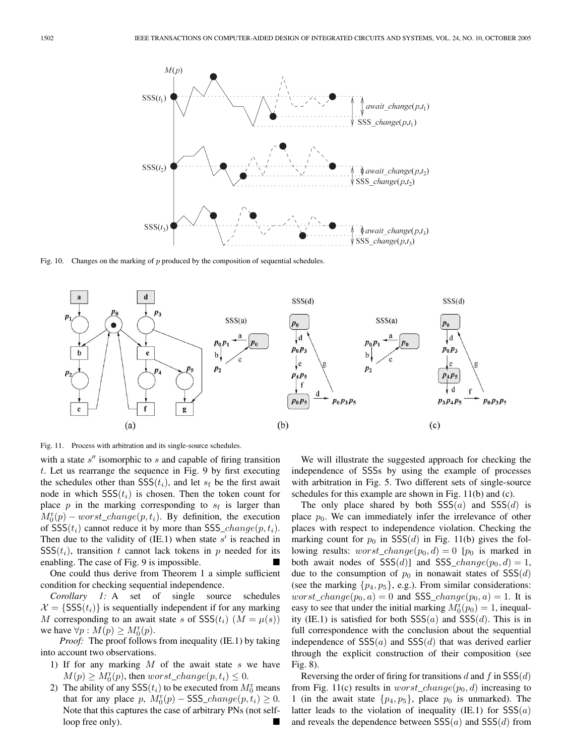

Fig. 10. Changes on the marking of *p* produced by the composition of sequential schedules.



Fig. 11. Process with arbitration and its single-source schedules.

with a state  $s''$  isomorphic to  $s$  and capable of firing transition t. Let us rearrange the sequence in Fig. 9 by first executing the schedules other than  $SS(t_i)$ , and let  $s_f$  be the first await node in which  $SS(t_i)$  is chosen. Then the token count for place p in the marking corresponding to  $s_f$  is larger than  $M_0^r(p)$  – worst\_change $(p, t_i)$ . By definition, the execution of  $SS(t_i)$  cannot reduce it by more than  $SSS_{\text{}}change(p, t_i)$ . Then due to the validity of  $(IE.1)$  when state s' is reached in  $SSS(t_i)$ , transition t cannot lack tokens in p needed for its enabling. The case of Fig. 9 is impossible.

One could thus derive from Theorem 1 a simple sufficient condition for checking sequential independence.

*Corollary 1:* A set of single source schedules  $\mathcal{X} = \{SSS(t_i)\}\$ is sequentially independent if for any marking M corresponding to an await state s of  $SSS(t_i)$   $(M = \mu(s))$ we have  $\forall p : M(p) \ge M_0^{\text{r}}(p)$ .

*Proof:* The proof follows from inequality (IE.1) by taking into account two observations.

- 1) If for any marking  $M$  of the await state  $s$  we have  $M(p) \ge M_0^{\rm r}(p)$ , then  $worst\_change(p,t_i) \le 0$ .
- 2) The ability of any  $SS(t_i)$  to be executed from  $M_0^r$  means that for any place p,  $M_0^r(p) -$ SSS\_change $(p, t_i) \ge 0$ . Note that this captures the case of arbitrary PNs (not selfloop free only).

We will illustrate the suggested approach for checking the independence of SSSs by using the example of processes with arbitration in Fig. 5. Two different sets of single-source schedules for this example are shown in Fig. 11(b) and (c).

The only place shared by both  $SSS(a)$  and  $SSS(d)$  is place  $p_0$ . We can immediately infer the irrelevance of other places with respect to independence violation. Checking the marking count for  $p_0$  in SSS(d) in Fig. 11(b) gives the following results:  $worst\_change(p_0, d) = 0$  [ $p_0$  is marked in both await nodes of  $SSS(d)$ ] and  $SSS_{change}(p_0, d) = 1$ , due to the consumption of  $p_0$  in nonawait states of  $SS( d)$ (see the marking  $\{p_4, p_5\}$ , e.g.). From similar considerations:  $worst\_change(p_0, a)=0$  and SSS\_*change*( $p_0, a$ ) = 1. It is easy to see that under the initial marking  $M_0^r(p_0)=1$ , inequality (IE.1) is satisfied for both  $SSS(a)$  and  $SSS(d)$ . This is in full correspondence with the conclusion about the sequential independence of  $SSS(a)$  and  $SSS(d)$  that was derived earlier through the explicit construction of their composition (see Fig. 8).

Reversing the order of firing for transitions d and f in  $SS( d)$ from Fig. 11(c) results in  $worst\_change(p_0, d)$  increasing to 1 (in the await state  $\{p_4, p_5\}$ , place  $p_0$  is unmarked). The latter leads to the violation of inequality (IE.1) for  $SSS(a)$ and reveals the dependence between  $SS(a)$  and  $SS(d)$  from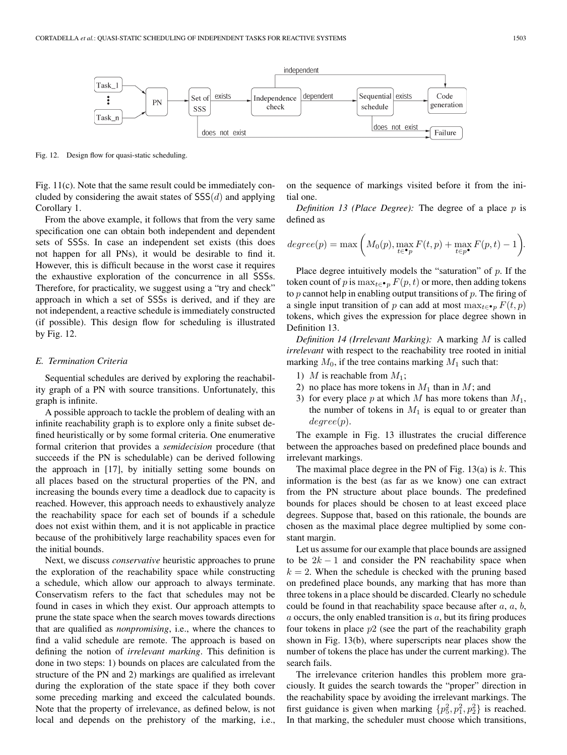

Fig. 12. Design flow for quasi-static scheduling.

Fig. 11(c). Note that the same result could be immediately concluded by considering the await states of  $SSS(d)$  and applying Corollary 1.

From the above example, it follows that from the very same specification one can obtain both independent and dependent sets of SSSs. In case an independent set exists (this does not happen for all PNs), it would be desirable to find it. However, this is difficult because in the worst case it requires the exhaustive exploration of the concurrence in all SSSs. Therefore, for practicality, we suggest using a "try and check" approach in which a set of SSSs is derived, and if they are not independent, a reactive schedule is immediately constructed (if possible). This design flow for scheduling is illustrated by Fig. 12.

#### *E. Termination Criteria*

Sequential schedules are derived by exploring the reachability graph of a PN with source transitions. Unfortunately, this graph is infinite.

A possible approach to tackle the problem of dealing with an infinite reachability graph is to explore only a finite subset defined heuristically or by some formal criteria. One enumerative formal criterion that provides a *semidecision* procedure (that succeeds if the PN is schedulable) can be derived following the approach in [17], by initially setting some bounds on all places based on the structural properties of the PN, and increasing the bounds every time a deadlock due to capacity is reached. However, this approach needs to exhaustively analyze the reachability space for each set of bounds if a schedule does not exist within them, and it is not applicable in practice because of the prohibitively large reachability spaces even for the initial bounds.

Next, we discuss *conservative* heuristic approaches to prune the exploration of the reachability space while constructing a schedule, which allow our approach to always terminate. Conservatism refers to the fact that schedules may not be found in cases in which they exist. Our approach attempts to prune the state space when the search moves towards directions that are qualified as *nonpromising*, i.e., where the chances to find a valid schedule are remote. The approach is based on defining the notion of *irrelevant marking*. This definition is done in two steps: 1) bounds on places are calculated from the structure of the PN and 2) markings are qualified as irrelevant during the exploration of the state space if they both cover some preceding marking and exceed the calculated bounds. Note that the property of irrelevance, as defined below, is not local and depends on the prehistory of the marking, i.e.,

on the sequence of markings visited before it from the initial one.

*Definition 13 (Place Degree):* The degree of a place p is defined as

$$
degree(p) = \max\left(M_0(p), \max_{t \in \bullet_p} F(t, p) + \max_{t \in p^{\bullet}} F(p, t) - 1\right).
$$

Place degree intuitively models the "saturation" of  $p$ . If the token count of p is  $\max_{t \in \mathcal{P}} F(p, t)$  or more, then adding tokens to  $p$  cannot help in enabling output transitions of  $p$ . The firing of a single input transition of p can add at most max<sub>t∈</sub>•<sub>p</sub>  $F(t, p)$ tokens, which gives the expression for place degree shown in Definition 13.

*Definition 14 (Irrelevant Marking):* A marking M is called *irrelevant* with respect to the reachability tree rooted in initial marking  $M_0$ , if the tree contains marking  $M_1$  such that:

- 1) M is reachable from  $M_1$ ;
- 2) no place has more tokens in  $M_1$  than in  $M$ ; and
- 3) for every place p at which M has more tokens than  $M_1$ , the number of tokens in  $M_1$  is equal to or greater than degree(p).

The example in Fig. 13 illustrates the crucial difference between the approaches based on predefined place bounds and irrelevant markings.

The maximal place degree in the PN of Fig.  $13(a)$  is k. This information is the best (as far as we know) one can extract from the PN structure about place bounds. The predefined bounds for places should be chosen to at least exceed place degrees. Suppose that, based on this rationale, the bounds are chosen as the maximal place degree multiplied by some constant margin.

Let us assume for our example that place bounds are assigned to be  $2k - 1$  and consider the PN reachability space when  $k = 2$ . When the schedule is checked with the pruning based on predefined place bounds, any marking that has more than three tokens in a place should be discarded. Clearly no schedule could be found in that reachability space because after  $a, a, b$ ,  $a$  occurs, the only enabled transition is  $a$ , but its firing produces four tokens in place  $p2$  (see the part of the reachability graph shown in Fig. 13(b), where superscripts near places show the number of tokens the place has under the current marking). The search fails.

The irrelevance criterion handles this problem more graciously. It guides the search towards the "proper" direction in the reachability space by avoiding the irrelevant markings. The first guidance is given when marking  $\{p_5^2, p_1^2, p_2^2\}$  is reached. In that marking, the scheduler must choose which transitions,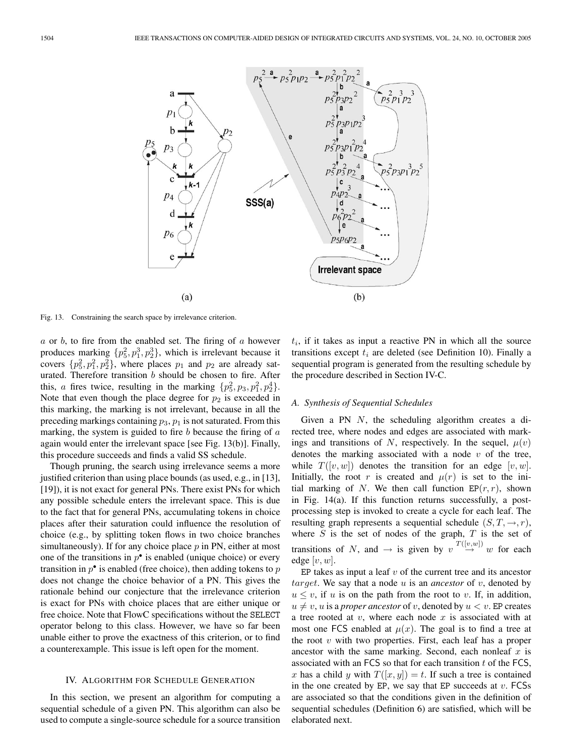

Fig. 13. Constraining the search space by irrelevance criterion.

 $a$  or  $b$ , to fire from the enabled set. The firing of  $a$  however produces marking  $\{p_5^2, p_1^3, p_2^3\}$ , which is irrelevant because it covers  $\{p_5^2, p_1^2, p_2^2\}$ , where places  $p_1$  and  $p_2$  are already saturated. Therefore transition  $b$  should be chosen to fire. After this, a fires twice, resulting in the marking  $\{p_5^2, p_3, p_1^2, p_2^4\}$ . Note that even though the place degree for  $p_2$  is exceeded in this marking, the marking is not irrelevant, because in all the preceding markings containing  $p_3$ ,  $p_1$  is not saturated. From this marking, the system is guided to fire  $b$  because the firing of  $a$ again would enter the irrelevant space [see Fig. 13(b)]. Finally, this procedure succeeds and finds a valid SS schedule.

Though pruning, the search using irrelevance seems a more justified criterion than using place bounds (as used, e.g., in [13], [19]), it is not exact for general PNs. There exist PNs for which any possible schedule enters the irrelevant space. This is due to the fact that for general PNs, accumulating tokens in choice places after their saturation could influence the resolution of choice (e.g., by splitting token flows in two choice branches simultaneously). If for any choice place  $p$  in PN, either at most one of the transitions in  $p^{\bullet}$  is enabled (unique choice) or every transition in  $p^{\bullet}$  is enabled (free choice), then adding tokens to p does not change the choice behavior of a PN. This gives the rationale behind our conjecture that the irrelevance criterion is exact for PNs with choice places that are either unique or free choice. Note that FlowC specifications without the SELECT operator belong to this class. However, we have so far been unable either to prove the exactness of this criterion, or to find a counterexample. This issue is left open for the moment.

## IV. ALGORITHM FOR SCHEDULE GENERATION

In this section, we present an algorithm for computing a sequential schedule of a given PN. This algorithm can also be used to compute a single-source schedule for a source transition  $t_i$ , if it takes as input a reactive PN in which all the source transitions except  $t_i$  are deleted (see Definition 10). Finally a sequential program is generated from the resulting schedule by the procedure described in Section IV-C.

## *A. Synthesis of Sequential Schedules*

Given a PN  $N$ , the scheduling algorithm creates a directed tree, where nodes and edges are associated with markings and transitions of N, respectively. In the sequel,  $\mu(v)$ denotes the marking associated with a node  $v$  of the tree, while  $T([v, w])$  denotes the transition for an edge  $[v, w]$ . Initially, the root r is created and  $\mu(r)$  is set to the initial marking of N. We then call function  $EP(r, r)$ , shown in Fig. 14(a). If this function returns successfully, a postprocessing step is invoked to create a cycle for each leaf. The resulting graph represents a sequential schedule  $(S, T, \rightarrow, r)$ , where  $S$  is the set of nodes of the graph,  $T$  is the set of transitions of N, and  $\rightarrow$  is given by  $v \stackrel{T([v,w])}{\rightarrow} w$  for each edge  $[v, w]$ .

EP takes as input a leaf  $v$  of the current tree and its ancestor target. We say that a node u is an *ancestor* of v, denoted by  $u \leq v$ , if u is on the path from the root to v. If, in addition,  $u \neq v$ , u is a *proper ancestor* of v, denoted by  $u < v$ . EP creates a tree rooted at  $v$ , where each node  $x$  is associated with at most one FCS enabled at  $\mu(x)$ . The goal is to find a tree at the root  $v$  with two properties. First, each leaf has a proper ancestor with the same marking. Second, each nonleaf  $x$  is associated with an FCS so that for each transition  $t$  of the FCS, x has a child y with  $T([x, y]) = t$ . If such a tree is contained in the one created by EP, we say that EP succeeds at  $v$ . FCSs are associated so that the conditions given in the definition of sequential schedules (Definition 6) are satisfied, which will be elaborated next.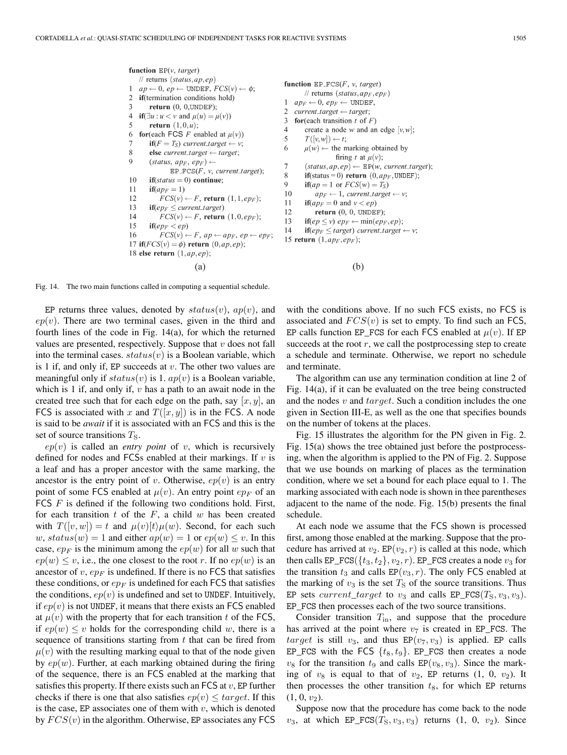```
function EP(v, target)// returns (status, ap, ep)ap \leftarrow 0, ep \leftarrow \text{UNDEF}, FCS(v) \leftarrow \phi;2 if (termination conditions hold)
3
        return (0, 0,UNDEF);
\overline{4}\textbf{if}(\exists u: u < v \text{ and } \mu(u) = \mu(v))\overline{a}return (1,0,u);for(each FCS F enabled at u(v))
6
        \textbf{if}(F = T_S) current_target \leftarrow v;
7
8
        else current_target \leftarrow target;
\overline{Q}(status, ap<sub>F</sub>, ep<sub>F</sub>) \leftarrowEP\_FCS(F, v, current\_target);10if(status = 0) continue;
11if(ap_F = 1)12
            FCS(v) \leftarrow F, return (1,1,ep_F);13if(ep_F \leq current\_target)14FCS(v) \leftarrow F, return (1,0,e p_F);
15
        if(ep_F<ep)FCS(v) \leftarrow F, ap \leftarrow ap_F, ep \leftarrow ep_F;
16
17 if (FCS(v) = \phi) return (0, ap, ep);
18 else return (1, ap, ep);(a)
```
function EP  $FCS(F, v, target)$ // returns (status,  $app$ ,  $ep_F$ ) 1  $ap_F \leftarrow 0$ ,  $ep_F \leftarrow \text{UNDEF}$ , 2 current\_target  $\leftarrow$  target;  $\overline{\mathbf{3}}$ for(each transition t of  $F$ )  $\overline{A}$ create a node w and an edge  $[v, w]$ ; 5  $T([v,w]) \leftarrow t$ ;  $\sqrt{6}$  $\mu(w) \leftarrow$  the marking obtained by firing t at  $\mu(\nu)$ ;  $\overline{7}$  $(status, ap, ep) \leftarrow EP(w, current\_target);$ 8 **if**(status = 0) return  $(0, a p_F,$  UNDEF);  $\overline{Q}$  $\textbf{if}(ap = 1 \text{ or } FCS(w) = T_S)$ 10  $ap_F \leftarrow 1$ , current\_target  $\leftarrow v$ ;  $11$  $if(ap_F = 0 \text{ and } v < ep)$  $12$ return  $(0, 0,$  UNDEF); 13 **if**(*ep* ≤ *v*) *ep<sub>F</sub>* ← min(*ep<sub>F</sub>*,*ep*);  $14$  $\textbf{if}(ep_F \leq target)$  current\_target  $\leftarrow v$ ; 15 return  $(1, a p_F, e p_F);$  $(b)$ 

Fig. 14. The two main functions called in computing a sequential schedule.

EP returns three values, denoted by  $status(v)$ ,  $ap(v)$ , and  $ep(v)$ . There are two terminal cases, given in the third and fourth lines of the code in Fig. 14(a), for which the returned values are presented, respectively. Suppose that  $v$  does not fall into the terminal cases.  $status(v)$  is a Boolean variable, which is 1 if, and only if, EP succeeds at  $v$ . The other two values are meaningful only if  $status(v)$  is 1.  $ap(v)$  is a Boolean variable, which is 1 if, and only if,  $v$  has a path to an await node in the created tree such that for each edge on the path, say  $[x, y]$ , an FCS is associated with x and  $T([x, y])$  is in the FCS. A node is said to be *await* if it is associated with an FCS and this is the set of source transitions  $T_S$ .

 $ep(v)$  is called an *entry point* of v, which is recursively defined for nodes and FCSs enabled at their markings. If  $v$  is a leaf and has a proper ancestor with the same marking, the ancestor is the entry point of v. Otherwise,  $ep(v)$  is an entry point of some FCS enabled at  $\mu(v)$ . An entry point  $ep_F$  of an FCS  $F$  is defined if the following two conditions hold. First, for each transition  $t$  of the  $F$ , a child  $w$  has been created with  $T([v, w]) = t$  and  $\mu(v)[t]\mu(w)$ . Second, for each such w, status(w) = 1 and either  $ap(w)=1$  or  $ep(w) \le v$ . In this case,  $ep_F$  is the minimum among the  $ep(w)$  for all w such that  $ep(w) \leq v$ , i.e., the one closest to the root r. If no  $ep(w)$  is an ancestor of  $v$ ,  $ep_F$  is undefined. If there is no FCS that satisfies these conditions, or  $ep_F$  is undefined for each FCS that satisfies the conditions,  $ep(v)$  is undefined and set to UNDEF. Intuitively, if  $ep(v)$  is not UNDEF, it means that there exists an FCS enabled at  $\mu(v)$  with the property that for each transition t of the FCS, if  $ep(w) \leq v$  holds for the corresponding child w, there is a sequence of transitions starting from  $t$  that can be fired from  $\mu(v)$  with the resulting marking equal to that of the node given by  $ep(w)$ . Further, at each marking obtained during the firing of the sequence, there is an FCS enabled at the marking that satisfies this property. If there exists such an FCS at  $v$ , EP further checks if there is one that also satisfies  $ep(v) \leq target$ . If this is the case, EP associates one of them with  $v$ , which is denoted by  $FCS(v)$  in the algorithm. Otherwise, EP associates any FCS with the conditions above. If no such FCS exists, no FCS is associated and  $FCS(v)$  is set to empty. To find such an FCS, EP calls function EP\_FCS for each FCS enabled at  $\mu(v)$ . If EP succeeds at the root  $r$ , we call the postprocessing step to create a schedule and terminate. Otherwise, we report no schedule and terminate.

The algorithm can use any termination condition at line 2 of Fig. 14(a), if it can be evaluated on the tree being constructed and the nodes  $v$  and  $target$ . Such a condition includes the one given in Section III-E, as well as the one that specifies bounds on the number of tokens at the places.

Fig. 15 illustrates the algorithm for the PN given in Fig. 2. Fig. 15(a) shows the tree obtained just before the postprocessing, when the algorithm is applied to the PN of Fig. 2. Suppose that we use bounds on marking of places as the termination condition, where we set a bound for each place equal to 1. The marking associated with each node is shown in thee parentheses adjacent to the name of the node. Fig. 15(b) presents the final schedule.

At each node we assume that the FCS shown is processed first, among those enabled at the marking. Suppose that the procedure has arrived at  $v_2$ . EP( $v_2$ , r) is called at this node, which then calls EP\_FCS( $\{t_3, t_2\}$ ,  $v_2$ ,  $r$ ). EP\_FCS creates a node  $v_3$  for the transition  $t_3$  and calls EP( $v_3$ , r). The only FCS enabled at the marking of  $v_3$  is the set  $T<sub>S</sub>$  of the source transitions. Thus EP sets *current\_target* to  $v_3$  and calls EP\_FCS( $T_S, v_3, v_3$ ). EP\_FCS then processes each of the two source transitions.

Consider transition  $T_{\text{in}}$ , and suppose that the procedure has arrived at the point where  $v_7$  is created in EP\_FCS. The target is still  $v_3$ , and thus  $EP(v_7, v_3)$  is applied. EP calls EP\_FCS with the FCS  $\{t_8, t_9\}$ . EP\_FCS then creates a node  $v_8$  for the transition  $t_9$  and calls  $EP(v_8, v_3)$ . Since the marking of  $v_8$  is equal to that of  $v_2$ , EP returns  $(1, 0, v_2)$ . It then processes the other transition  $t_8$ , for which EP returns  $(1, 0, v_2)$ .

Suppose now that the procedure has come back to the node  $v_3$ , at which EP\_FCS( $T_S, v_3, v_3$ ) returns (1, 0,  $v_2$ ). Since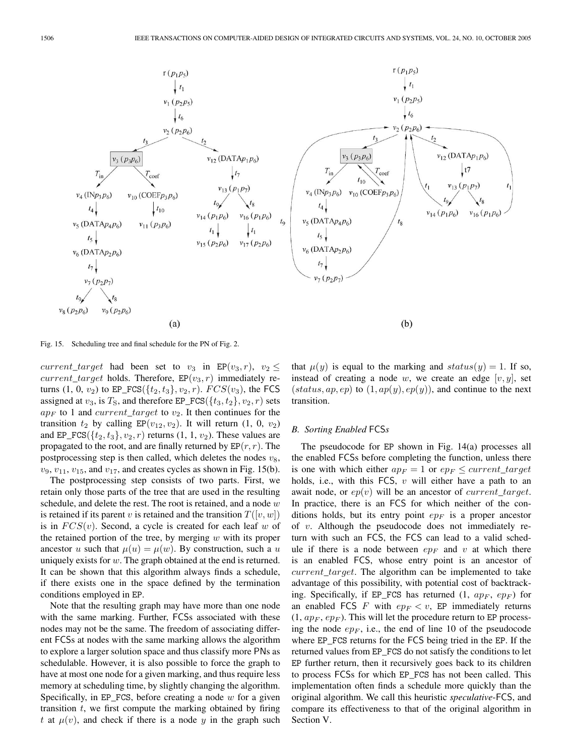

Fig. 15. Scheduling tree and final schedule for the PN of Fig. 2.

current\_target had been set to  $v_3$  in EP( $v_3$ ,  $r$ ),  $v_2 \leq$ current\_target holds. Therefore,  $EP(v_3, r)$  immediately returns  $(1, 0, v_2)$  to EP\_FCS $({t_2, t_3}, v_2, r)$ .  $FCS(v_3)$ , the FCS assigned at  $v_3$ , is  $T_s$ , and therefore EP\_FCS({ $t_3, t_2$ },  $v_2, r$ ) sets  $ap_F$  to 1 and *current\_target* to  $v_2$ . It then continues for the transition  $t_2$  by calling EP( $v_{12}, v_2$ ). It will return (1, 0,  $v_2$ ) and EP\_FCS( $\{t_2, t_3\}$ ,  $v_2$ , r) returns (1, 1,  $v_2$ ). These values are propagated to the root, and are finally returned by  $EP(r, r)$ . The postprocessing step is then called, which deletes the nodes  $v_8$ ,  $v_9$ ,  $v_{11}$ ,  $v_{15}$ , and  $v_{17}$ , and creates cycles as shown in Fig. 15(b).

The postprocessing step consists of two parts. First, we retain only those parts of the tree that are used in the resulting schedule, and delete the rest. The root is retained, and a node  $w$ is retained if its parent v is retained and the transition  $T([v, w])$ is in  $FCS(v)$ . Second, a cycle is created for each leaf w of the retained portion of the tree, by merging  $w$  with its proper ancestor u such that  $\mu(u) = \mu(w)$ . By construction, such a u uniquely exists for w. The graph obtained at the end is returned. It can be shown that this algorithm always finds a schedule, if there exists one in the space defined by the termination conditions employed in EP.

Note that the resulting graph may have more than one node with the same marking. Further, FCSs associated with these nodes may not be the same. The freedom of associating different FCSs at nodes with the same marking allows the algorithm to explore a larger solution space and thus classify more PNs as schedulable. However, it is also possible to force the graph to have at most one node for a given marking, and thus require less memory at scheduling time, by slightly changing the algorithm. Specifically, in EP\_FCS, before creating a node  $w$  for a given transition  $t$ , we first compute the marking obtained by firing t at  $\mu(v)$ , and check if there is a node y in the graph such that  $\mu(y)$  is equal to the marking and  $status(y)=1$ . If so, instead of creating a node w, we create an edge  $[v, y]$ , set  $(status, ap, ep)$  to  $(1, ap(y), ep(y))$ , and continue to the next transition.

#### *B. Sorting Enabled* FCS*s*

The pseudocode for EP shown in Fig. 14(a) processes all the enabled FCSs before completing the function, unless there is one with which either  $ap_F = 1$  or  $ep_F \leq current\_target$ holds, i.e., with this FCS,  $v$  will either have a path to an await node, or  $ep(v)$  will be an ancestor of *current\_target*. In practice, there is an FCS for which neither of the conditions holds, but its entry point  $ep_F$  is a proper ancestor of v. Although the pseudocode does not immediately return with such an FCS, the FCS can lead to a valid schedule if there is a node between  $ep_F$  and v at which there is an enabled FCS, whose entry point is an ancestor of current\_target. The algorithm can be implemented to take advantage of this possibility, with potential cost of backtracking. Specifically, if EP\_FCS has returned  $(1, \, ap_F, \, ep_F)$  for an enabled FCS F with  $ep_F < v$ , EP immediately returns  $(1, a p_F, e p_F)$ . This will let the procedure return to EP processing the node  $ep_F$ , i.e., the end of line 10 of the pseudocode where EP\_FCS returns for the FCS being tried in the EP. If the returned values from EP\_FCS do not satisfy the conditions to let EP further return, then it recursively goes back to its children to process FCSs for which EP\_FCS has not been called. This implementation often finds a schedule more quickly than the original algorithm. We call this heuristic *speculative*-FCS, and compare its effectiveness to that of the original algorithm in Section V.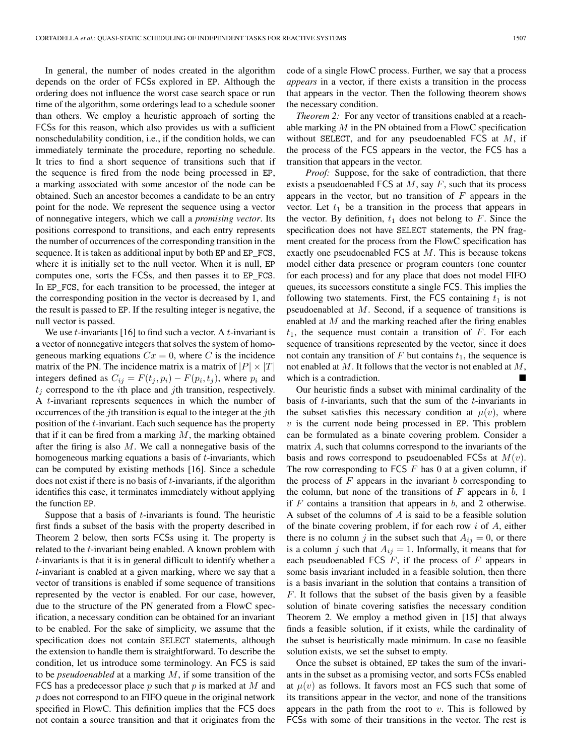In general, the number of nodes created in the algorithm depends on the order of FCSs explored in EP. Although the ordering does not influence the worst case search space or run time of the algorithm, some orderings lead to a schedule sooner than others. We employ a heuristic approach of sorting the FCSs for this reason, which also provides us with a sufficient nonschedulability condition, i.e., if the condition holds, we can immediately terminate the procedure, reporting no schedule. It tries to find a short sequence of transitions such that if the sequence is fired from the node being processed in EP, a marking associated with some ancestor of the node can be obtained. Such an ancestor becomes a candidate to be an entry point for the node. We represent the sequence using a vector of nonnegative integers, which we call a *promising vector*. Its positions correspond to transitions, and each entry represents the number of occurrences of the corresponding transition in the sequence. It is taken as additional input by both EP and EP FCS, where it is initially set to the null vector. When it is null, EP computes one, sorts the FCSs, and then passes it to EP\_FCS. In EP\_FCS, for each transition to be processed, the integer at the corresponding position in the vector is decreased by 1, and the result is passed to EP. If the resulting integer is negative, the null vector is passed.

We use  $t$ -invariants [16] to find such a vector. A  $t$ -invariant is a vector of nonnegative integers that solves the system of homogeneous marking equations  $Cx = 0$ , where C is the incidence matrix of the PN. The incidence matrix is a matrix of  $|P| \times |T|$ integers defined as  $C_{ij} = F(t_j, p_i) - F(p_i, t_j)$ , where  $p_i$  and  $t_i$  correspond to the *i*th place and *j*th transition, respectively. A t-invariant represents sequences in which the number of occurrences of the *j*th transition is equal to the integer at the *j*th position of the t-invariant. Each such sequence has the property that if it can be fired from a marking  $M$ , the marking obtained after the firing is also  $M$ . We call a nonnegative basis of the homogeneous marking equations a basis of *t*-invariants, which can be computed by existing methods [16]. Since a schedule does not exist if there is no basis of  $t$ -invariants, if the algorithm identifies this case, it terminates immediately without applying the function EP.

Suppose that a basis of  $t$ -invariants is found. The heuristic first finds a subset of the basis with the property described in Theorem 2 below, then sorts FCSs using it. The property is related to the t-invariant being enabled. A known problem with  $t$ -invariants is that it is in general difficult to identify whether a t-invariant is enabled at a given marking, where we say that a vector of transitions is enabled if some sequence of transitions represented by the vector is enabled. For our case, however, due to the structure of the PN generated from a FlowC specification, a necessary condition can be obtained for an invariant to be enabled. For the sake of simplicity, we assume that the specification does not contain SELECT statements, although the extension to handle them is straightforward. To describe the condition, let us introduce some terminology. An FCS is said to be *pseudoenabled* at a marking M, if some transition of the FCS has a predecessor place  $p$  such that  $p$  is marked at  $M$  and  $p$  does not correspond to an FIFO queue in the original network specified in FlowC. This definition implies that the FCS does not contain a source transition and that it originates from the

code of a single FlowC process. Further, we say that a process *appears* in a vector, if there exists a transition in the process that appears in the vector. Then the following theorem shows the necessary condition.

*Theorem 2:* For any vector of transitions enabled at a reachable marking  $M$  in the PN obtained from a FlowC specification without SELECT, and for any pseudoenabled FCS at  $M$ , if the process of the FCS appears in the vector, the FCS has a transition that appears in the vector.

*Proof:* Suppose, for the sake of contradiction, that there exists a pseudoenabled FCS at  $M$ , say  $F$ , such that its process appears in the vector, but no transition of  $F$  appears in the vector. Let  $t_1$  be a transition in the process that appears in the vector. By definition,  $t_1$  does not belong to F. Since the specification does not have SELECT statements, the PN fragment created for the process from the FlowC specification has exactly one pseudoenabled FCS at M. This is because tokens model either data presence or program counters (one counter for each process) and for any place that does not model FIFO queues, its successors constitute a single FCS. This implies the following two statements. First, the FCS containing  $t_1$  is not pseudoenabled at M. Second, if a sequence of transitions is enabled at M and the marking reached after the firing enables  $t_1$ , the sequence must contain a transition of F. For each sequence of transitions represented by the vector, since it does not contain any transition of  $F$  but contains  $t_1$ , the sequence is not enabled at  $M$ . It follows that the vector is not enabled at  $M$ , which is a contradiction.

Our heuristic finds a subset with minimal cardinality of the basis of  $t$ -invariants, such that the sum of the  $t$ -invariants in the subset satisfies this necessary condition at  $\mu(v)$ , where  $v$  is the current node being processed in EP. This problem can be formulated as a binate covering problem. Consider a matrix A, such that columns correspond to the invariants of the basis and rows correspond to pseudoenabled FCSs at  $M(v)$ . The row corresponding to FCS  $F$  has 0 at a given column, if the process of  $F$  appears in the invariant  $b$  corresponding to the column, but none of the transitions of  $F$  appears in  $b$ , 1 if  $F$  contains a transition that appears in  $b$ , and 2 otherwise. A subset of the columns of A is said to be a feasible solution of the binate covering problem, if for each row  $i$  of  $A$ , either there is no column j in the subset such that  $A_{ij} = 0$ , or there is a column j such that  $A_{ij} = 1$ . Informally, it means that for each pseudoenabled FCS  $F$ , if the process of  $F$  appears in some basis invariant included in a feasible solution, then there is a basis invariant in the solution that contains a transition of  $F$ . It follows that the subset of the basis given by a feasible solution of binate covering satisfies the necessary condition Theorem 2. We employ a method given in [15] that always finds a feasible solution, if it exists, while the cardinality of the subset is heuristically made minimum. In case no feasible solution exists, we set the subset to empty.

Once the subset is obtained, EP takes the sum of the invariants in the subset as a promising vector, and sorts FCSs enabled at  $\mu(v)$  as follows. It favors most an FCS such that some of its transitions appear in the vector, and none of the transitions appears in the path from the root to  $v$ . This is followed by FCSs with some of their transitions in the vector. The rest is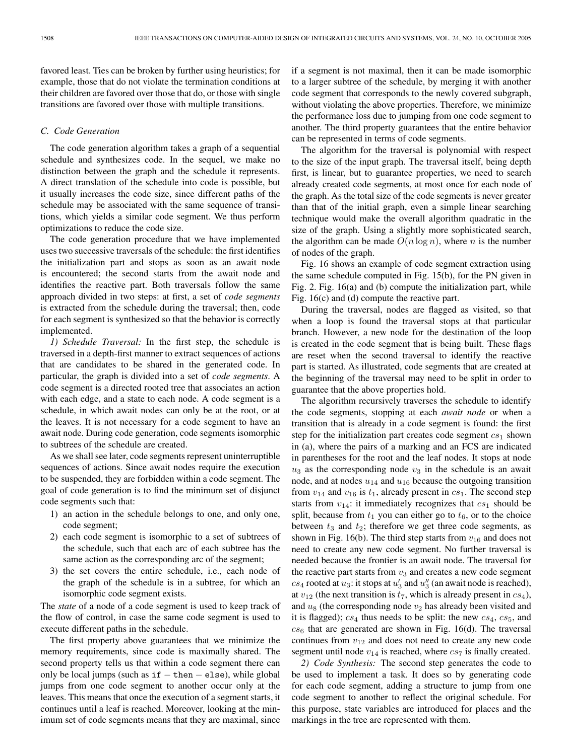favored least. Ties can be broken by further using heuristics; for example, those that do not violate the termination conditions at their children are favored over those that do, or those with single transitions are favored over those with multiple transitions.

# *C. Code Generation*

The code generation algorithm takes a graph of a sequential schedule and synthesizes code. In the sequel, we make no distinction between the graph and the schedule it represents. A direct translation of the schedule into code is possible, but it usually increases the code size, since different paths of the schedule may be associated with the same sequence of transitions, which yields a similar code segment. We thus perform optimizations to reduce the code size.

The code generation procedure that we have implemented uses two successive traversals of the schedule: the first identifies the initialization part and stops as soon as an await node is encountered; the second starts from the await node and identifies the reactive part. Both traversals follow the same approach divided in two steps: at first, a set of *code segments* is extracted from the schedule during the traversal; then, code for each segment is synthesized so that the behavior is correctly implemented.

*1) Schedule Traversal:* In the first step, the schedule is traversed in a depth-first manner to extract sequences of actions that are candidates to be shared in the generated code. In particular, the graph is divided into a set of *code segments*. A code segment is a directed rooted tree that associates an action with each edge, and a state to each node. A code segment is a schedule, in which await nodes can only be at the root, or at the leaves. It is not necessary for a code segment to have an await node. During code generation, code segments isomorphic to subtrees of the schedule are created.

As we shall see later, code segments represent uninterruptible sequences of actions. Since await nodes require the execution to be suspended, they are forbidden within a code segment. The goal of code generation is to find the minimum set of disjunct code segments such that:

- 1) an action in the schedule belongs to one, and only one, code segment;
- 2) each code segment is isomorphic to a set of subtrees of the schedule, such that each arc of each subtree has the same action as the corresponding arc of the segment;
- 3) the set covers the entire schedule, i.e., each node of the graph of the schedule is in a subtree, for which an isomorphic code segment exists.

The *state* of a node of a code segment is used to keep track of the flow of control, in case the same code segment is used to execute different paths in the schedule.

The first property above guarantees that we minimize the memory requirements, since code is maximally shared. The second property tells us that within a code segment there can only be local jumps (such as if − then − else), while global jumps from one code segment to another occur only at the leaves. This means that once the execution of a segment starts, it continues until a leaf is reached. Moreover, looking at the minimum set of code segments means that they are maximal, since if a segment is not maximal, then it can be made isomorphic to a larger subtree of the schedule, by merging it with another code segment that corresponds to the newly covered subgraph, without violating the above properties. Therefore, we minimize the performance loss due to jumping from one code segment to another. The third property guarantees that the entire behavior can be represented in terms of code segments.

The algorithm for the traversal is polynomial with respect to the size of the input graph. The traversal itself, being depth first, is linear, but to guarantee properties, we need to search already created code segments, at most once for each node of the graph. As the total size of the code segments is never greater than that of the initial graph, even a simple linear searching technique would make the overall algorithm quadratic in the size of the graph. Using a slightly more sophisticated search, the algorithm can be made  $O(n \log n)$ , where n is the number of nodes of the graph.

Fig. 16 shows an example of code segment extraction using the same schedule computed in Fig. 15(b), for the PN given in Fig. 2. Fig. 16(a) and (b) compute the initialization part, while Fig. 16(c) and (d) compute the reactive part.

During the traversal, nodes are flagged as visited, so that when a loop is found the traversal stops at that particular branch. However, a new node for the destination of the loop is created in the code segment that is being built. These flags are reset when the second traversal to identify the reactive part is started. As illustrated, code segments that are created at the beginning of the traversal may need to be split in order to guarantee that the above properties hold.

The algorithm recursively traverses the schedule to identify the code segments, stopping at each *await node* or when a transition that is already in a code segment is found: the first step for the initialization part creates code segment  $cs<sub>1</sub>$  shown in (a), where the pairs of a marking and an FCS are indicated in parentheses for the root and the leaf nodes. It stops at node  $u_3$  as the corresponding node  $v_3$  in the schedule is an await node, and at nodes  $u_{14}$  and  $u_{16}$  because the outgoing transition from  $v_{14}$  and  $v_{16}$  is  $t_1$ , already present in  $cs_1$ . The second step starts from  $v_{14}$ : it immediately recognizes that  $cs_1$  should be split, because from  $t_1$  you can either go to  $t_6$ , or to the choice between  $t_3$  and  $t_2$ ; therefore we get three code segments, as shown in Fig. 16(b). The third step starts from  $v_{16}$  and does not need to create any new code segment. No further traversal is needed because the frontier is an await node. The traversal for the reactive part starts from  $v_3$  and creates a new code segment  $cs_4$  rooted at  $u_3$ : it stops at  $u'_3$  and  $u''_3$  (an await node is reached), at  $v_{12}$  (the next transition is  $t_7$ , which is already present in  $cs_4$ ), and  $u_8$  (the corresponding node  $v_2$  has already been visited and it is flagged);  $cs_4$  thus needs to be split: the new  $cs_4$ ,  $cs_5$ , and  $cs<sub>6</sub>$  that are generated are shown in Fig. 16(d). The traversal continues from  $v_{12}$  and does not need to create any new code segment until node  $v_{14}$  is reached, where  $cs_7$  is finally created.

*2) Code Synthesis:* The second step generates the code to be used to implement a task. It does so by generating code for each code segment, adding a structure to jump from one code segment to another to reflect the original schedule. For this purpose, state variables are introduced for places and the markings in the tree are represented with them.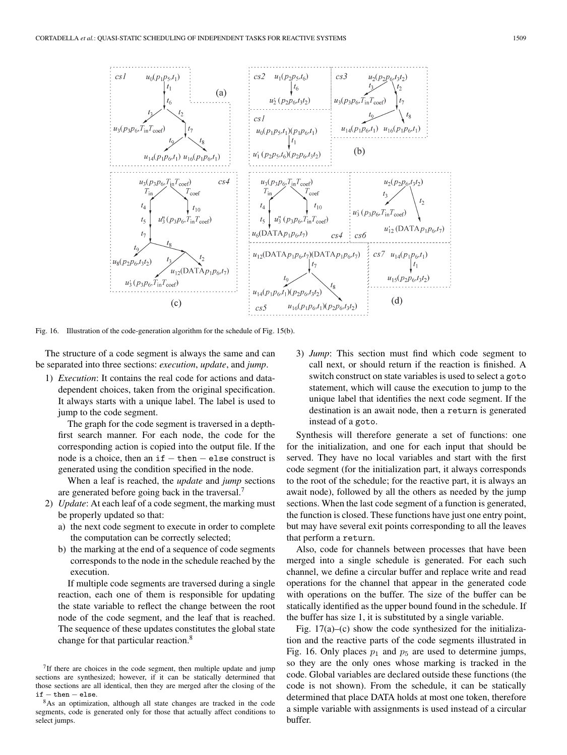

Fig. 16. Illustration of the code-generation algorithm for the schedule of Fig. 15(b).

The structure of a code segment is always the same and can be separated into three sections: *execution*, *update*, and *jump*.

1) *Execution*: It contains the real code for actions and datadependent choices, taken from the original specification. It always starts with a unique label. The label is used to jump to the code segment.

The graph for the code segment is traversed in a depthfirst search manner. For each node, the code for the corresponding action is copied into the output file. If the node is a choice, then an if  $-$  then  $-$  else construct is generated using the condition specified in the node.

When a leaf is reached, the *update* and *jump* sections are generated before going back in the traversal.7

- 2) *Update*: At each leaf of a code segment, the marking must be properly updated so that:
	- a) the next code segment to execute in order to complete the computation can be correctly selected;
	- b) the marking at the end of a sequence of code segments corresponds to the node in the schedule reached by the execution.

If multiple code segments are traversed during a single reaction, each one of them is responsible for updating the state variable to reflect the change between the root node of the code segment, and the leaf that is reached. The sequence of these updates constitutes the global state change for that particular reaction.<sup>8</sup>

3) *Jump*: This section must find which code segment to call next, or should return if the reaction is finished. A switch construct on state variables is used to select a goto statement, which will cause the execution to jump to the unique label that identifies the next code segment. If the destination is an await node, then a return is generated instead of a goto.

Synthesis will therefore generate a set of functions: one for the initialization, and one for each input that should be served. They have no local variables and start with the first code segment (for the initialization part, it always corresponds to the root of the schedule; for the reactive part, it is always an await node), followed by all the others as needed by the jump sections. When the last code segment of a function is generated, the function is closed. These functions have just one entry point, but may have several exit points corresponding to all the leaves that perform a return.

Also, code for channels between processes that have been merged into a single schedule is generated. For each such channel, we define a circular buffer and replace write and read operations for the channel that appear in the generated code with operations on the buffer. The size of the buffer can be statically identified as the upper bound found in the schedule. If the buffer has size 1, it is substituted by a single variable.

Fig. 17(a)–(c) show the code synthesized for the initialization and the reactive parts of the code segments illustrated in Fig. 16. Only places  $p_1$  and  $p_5$  are used to determine jumps, so they are the only ones whose marking is tracked in the code. Global variables are declared outside these functions (the code is not shown). From the schedule, it can be statically determined that place DATA holds at most one token, therefore a simple variable with assignments is used instead of a circular buffer.

 $7$ If there are choices in the code segment, then multiple update and jump sections are synthesized; however, if it can be statically determined that those sections are all identical, then they are merged after the closing of the  $if - then - else.$ <sup>8</sup>As an optimization, although all state changes are tracked in the code

segments, code is generated only for those that actually affect conditions to select jumps.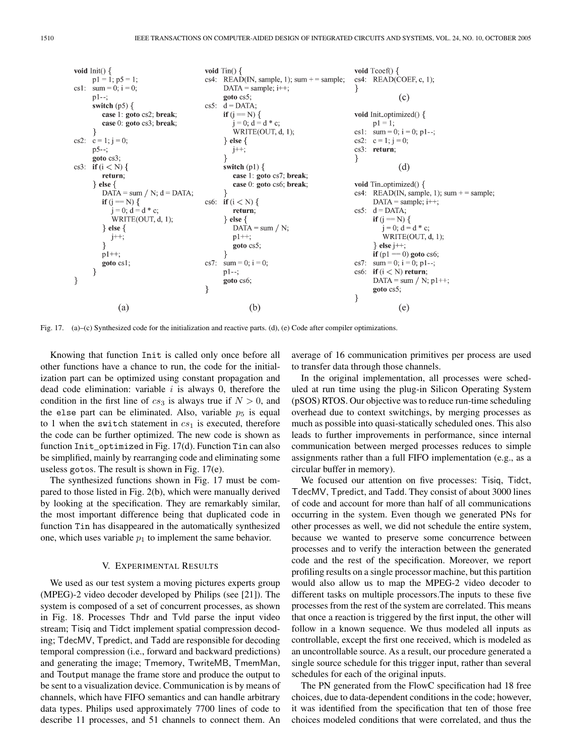

Fig. 17. (a)–(c) Synthesized code for the initialization and reactive parts. (d), (e) Code after compiler optimizations.

Knowing that function Init is called only once before all other functions have a chance to run, the code for the initialization part can be optimized using constant propagation and dead code elimination: variable  $i$  is always 0, therefore the condition in the first line of  $cs_3$  is always true if  $N > 0$ , and the else part can be eliminated. Also, variable  $p_5$  is equal to 1 when the switch statement in  $cs<sub>1</sub>$  is executed, therefore the code can be further optimized. The new code is shown as function Init\_optimized in Fig. 17(d). Function Tin can also be simplified, mainly by rearranging code and eliminating some useless gotos. The result is shown in Fig. 17(e).

The synthesized functions shown in Fig. 17 must be compared to those listed in Fig. 2(b), which were manually derived by looking at the specification. They are remarkably similar, the most important difference being that duplicated code in function Tin has disappeared in the automatically synthesized one, which uses variable  $p_1$  to implement the same behavior.

# V. EXPERIMENTAL RESULTS

We used as our test system a moving pictures experts group (MPEG)-2 video decoder developed by Philips (see [21]). The system is composed of a set of concurrent processes, as shown in Fig. 18. Processes Thdr and Tvld parse the input video stream; Tisiq and Tidct implement spatial compression decoding; TdecMV, Tpredict, and Tadd are responsible for decoding temporal compression (i.e., forward and backward predictions) and generating the image; Tmemory, TwriteMB, TmemMan, and Toutput manage the frame store and produce the output to be sent to a visualization device. Communication is by means of channels, which have FIFO semantics and can handle arbitrary data types. Philips used approximately 7700 lines of code to describe 11 processes, and 51 channels to connect them. An average of 16 communication primitives per process are used to transfer data through those channels.

In the original implementation, all processes were scheduled at run time using the plug-in Silicon Operating System (pSOS) RTOS. Our objective was to reduce run-time scheduling overhead due to context switchings, by merging processes as much as possible into quasi-statically scheduled ones. This also leads to further improvements in performance, since internal communication between merged processes reduces to simple assignments rather than a full FIFO implementation (e.g., as a circular buffer in memory).

We focused our attention on five processes: Tisiq, Tidct, TdecMV, Tpredict, and Tadd. They consist of about 3000 lines of code and account for more than half of all communications occurring in the system. Even though we generated PNs for other processes as well, we did not schedule the entire system, because we wanted to preserve some concurrence between processes and to verify the interaction between the generated code and the rest of the specification. Moreover, we report profiling results on a single processor machine, but this partition would also allow us to map the MPEG-2 video decoder to different tasks on multiple processors.The inputs to these five processes from the rest of the system are correlated. This means that once a reaction is triggered by the first input, the other will follow in a known sequence. We thus modeled all inputs as controllable, except the first one received, which is modeled as an uncontrollable source. As a result, our procedure generated a single source schedule for this trigger input, rather than several schedules for each of the original inputs.

The PN generated from the FlowC specification had 18 free choices, due to data-dependent conditions in the code; however, it was identified from the specification that ten of those free choices modeled conditions that were correlated, and thus the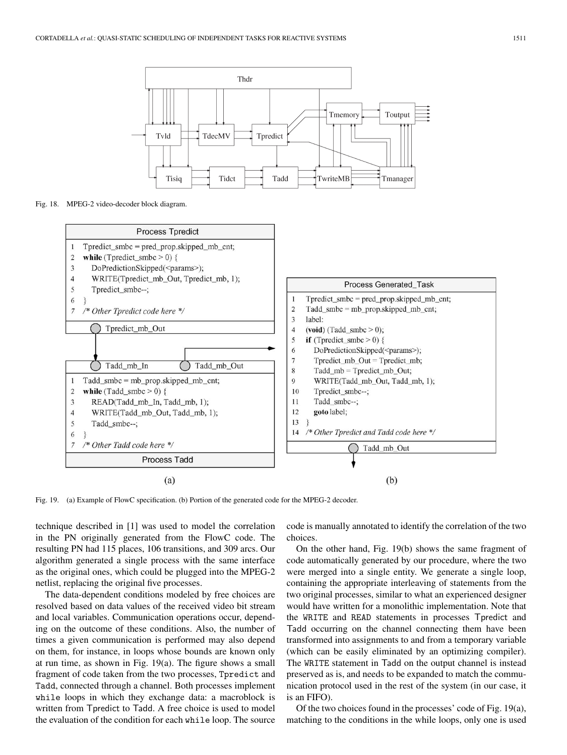

Fig. 18. MPEG-2 video-decoder block diagram.



Fig. 19. (a) Example of FlowC specification. (b) Portion of the generated code for the MPEG-2 decoder.

technique described in [1] was used to model the correlation in the PN originally generated from the FlowC code. The resulting PN had 115 places, 106 transitions, and 309 arcs. Our algorithm generated a single process with the same interface as the original ones, which could be plugged into the MPEG-2 netlist, replacing the original five processes.

The data-dependent conditions modeled by free choices are resolved based on data values of the received video bit stream and local variables. Communication operations occur, depending on the outcome of these conditions. Also, the number of times a given communication is performed may also depend on them, for instance, in loops whose bounds are known only at run time, as shown in Fig. 19(a). The figure shows a small fragment of code taken from the two processes, Tpredict and Tadd, connected through a channel. Both processes implement while loops in which they exchange data: a macroblock is written from Tpredict to Tadd. A free choice is used to model the evaluation of the condition for each while loop. The source code is manually annotated to identify the correlation of the two choices.

On the other hand, Fig. 19(b) shows the same fragment of code automatically generated by our procedure, where the two were merged into a single entity. We generate a single loop, containing the appropriate interleaving of statements from the two original processes, similar to what an experienced designer would have written for a monolithic implementation. Note that the WRITE and READ statements in processes Tpredict and Tadd occurring on the channel connecting them have been transformed into assignments to and from a temporary variable (which can be easily eliminated by an optimizing compiler). The WRITE statement in Tadd on the output channel is instead preserved as is, and needs to be expanded to match the communication protocol used in the rest of the system (in our case, it is an FIFO).

Of the two choices found in the processes' code of Fig. 19(a), matching to the conditions in the while loops, only one is used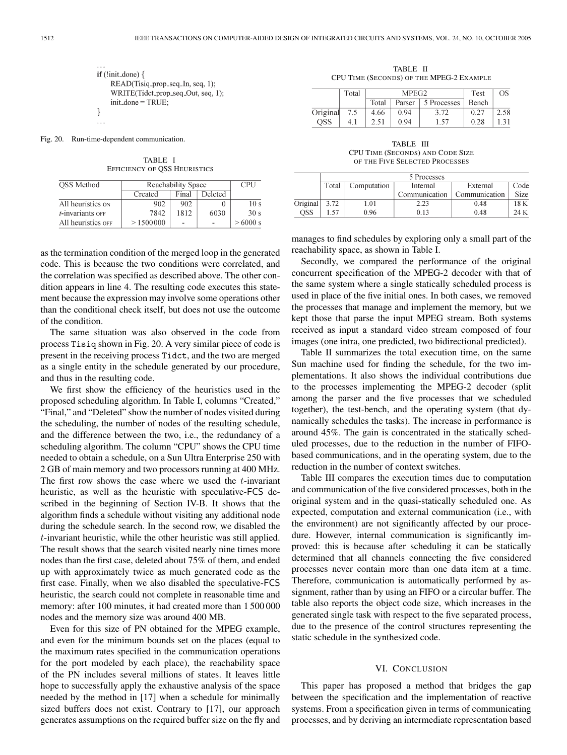| if $(\text{init\_done})$           |
|------------------------------------|
| READ(Tisiq_prop_seq_In, seq, 1);   |
| WRITE(Tidct_prop_seq_Out, seq, 1); |
| $init\_done = TRUE$ :              |
|                                    |
|                                    |

Fig. 20. Run-time-dependent communication.

TABLE I EFFICIENCY OF QSS HEURISTICS

| OSS Method          | Reachability Space |       |         | CPU             |
|---------------------|--------------------|-------|---------|-----------------|
|                     | Created            | Final | Deleted |                 |
| All heuristics on   | 902                | 902   |         | 10 s            |
| $t$ -invariants OFF | 7842               | 1812  | 6030    | 30 <sub>s</sub> |
| All heuristics OFF  | >1500000           | ٠     |         | $>6000$ s       |

as the termination condition of the merged loop in the generated code. This is because the two conditions were correlated, and the correlation was specified as described above. The other condition appears in line 4. The resulting code executes this statement because the expression may involve some operations other than the conditional check itself, but does not use the outcome of the condition.

The same situation was also observed in the code from process Tisiq shown in Fig. 20. A very similar piece of code is present in the receiving process Tidct, and the two are merged as a single entity in the schedule generated by our procedure, and thus in the resulting code.

We first show the efficiency of the heuristics used in the proposed scheduling algorithm. In Table I, columns "Created," "Final," and "Deleted" show the number of nodes visited during the scheduling, the number of nodes of the resulting schedule, and the difference between the two, i.e., the redundancy of a scheduling algorithm. The column "CPU" shows the CPU time needed to obtain a schedule, on a Sun Ultra Enterprise 250 with 2 GB of main memory and two processors running at 400 MHz. The first row shows the case where we used the  $t$ -invariant heuristic, as well as the heuristic with speculative-FCS described in the beginning of Section IV-B. It shows that the algorithm finds a schedule without visiting any additional node during the schedule search. In the second row, we disabled the t-invariant heuristic, while the other heuristic was still applied. The result shows that the search visited nearly nine times more nodes than the first case, deleted about 75% of them, and ended up with approximately twice as much generated code as the first case. Finally, when we also disabled the speculative-FCS heuristic, the search could not complete in reasonable time and memory: after 100 minutes, it had created more than  $1500000$ nodes and the memory size was around 400 MB.

Even for this size of PN obtained for the MPEG example, and even for the minimum bounds set on the places (equal to the maximum rates specified in the communication operations for the port modeled by each place), the reachability space of the PN includes several millions of states. It leaves little hope to successfully apply the exhaustive analysis of the space needed by the method in [17] when a schedule for minimally sized buffers does not exist. Contrary to [17], our approach generates assumptions on the required buffer size on the fly and

TABLE II CPU TIME (SECONDS) OF THE MPEG-2 EXAMPLE

|          | Total | MPEG <sub>2</sub> |        |             | Test  | OS   |
|----------|-------|-------------------|--------|-------------|-------|------|
|          |       | Total             | Parser | 5 Processes | Bench |      |
| Original | 7.5   | 4.66              | 0.94   | 3.72        | 0.27  | 2.58 |
| OSS      |       | 2.51              | 0.94   | 1.57        | 0.28  | .31  |

TABLE III CPU TIME (SECONDS) AND CODE SIZE OF THE FIVE SELECTED PROCESSES

|          | 5 Processes |             |               |               |             |  |
|----------|-------------|-------------|---------------|---------------|-------------|--|
|          | Total       | Computation | Internal      | External      | Code        |  |
|          |             |             | Communication | Communication | <b>Size</b> |  |
| Original | 3.72        | 1.01        | 2.23          | 0.48          | 18 K        |  |
| OSS      | . 57        | 0.96        | 0.13          | 0.48          | 24 K        |  |

manages to find schedules by exploring only a small part of the reachability space, as shown in Table I.

Secondly, we compared the performance of the original concurrent specification of the MPEG-2 decoder with that of the same system where a single statically scheduled process is used in place of the five initial ones. In both cases, we removed the processes that manage and implement the memory, but we kept those that parse the input MPEG stream. Both systems received as input a standard video stream composed of four images (one intra, one predicted, two bidirectional predicted).

Table II summarizes the total execution time, on the same Sun machine used for finding the schedule, for the two implementations. It also shows the individual contributions due to the processes implementing the MPEG-2 decoder (split among the parser and the five processes that we scheduled together), the test-bench, and the operating system (that dynamically schedules the tasks). The increase in performance is around 45%. The gain is concentrated in the statically scheduled processes, due to the reduction in the number of FIFObased communications, and in the operating system, due to the reduction in the number of context switches.

Table III compares the execution times due to computation and communication of the five considered processes, both in the original system and in the quasi-statically scheduled one. As expected, computation and external communication (i.e., with the environment) are not significantly affected by our procedure. However, internal communication is significantly improved: this is because after scheduling it can be statically determined that all channels connecting the five considered processes never contain more than one data item at a time. Therefore, communication is automatically performed by assignment, rather than by using an FIFO or a circular buffer. The table also reports the object code size, which increases in the generated single task with respect to the five separated process, due to the presence of the control structures representing the static schedule in the synthesized code.

#### VI. CONCLUSION

This paper has proposed a method that bridges the gap between the specification and the implementation of reactive systems. From a specification given in terms of communicating processes, and by deriving an intermediate representation based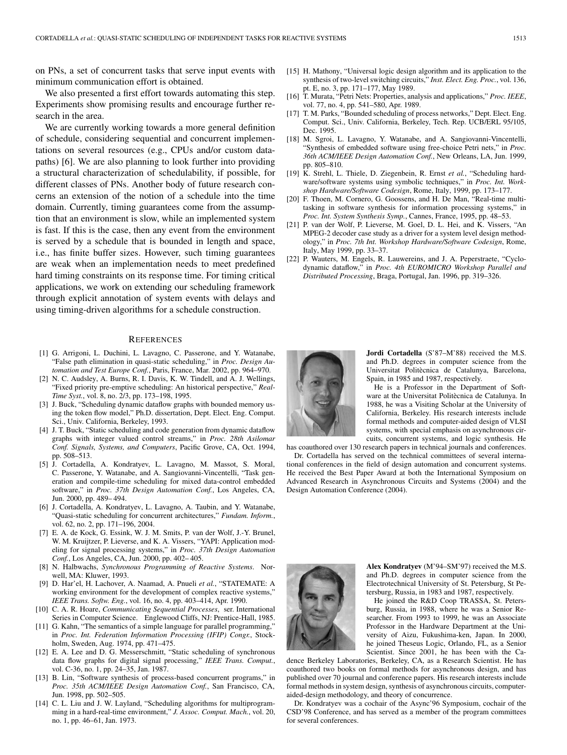on PNs, a set of concurrent tasks that serve input events with minimum communication effort is obtained.

We also presented a first effort towards automating this step. Experiments show promising results and encourage further research in the area.

We are currently working towards a more general definition of schedule, considering sequential and concurrent implementations on several resources (e.g., CPUs and/or custom datapaths) [6]. We are also planning to look further into providing a structural characterization of schedulability, if possible, for different classes of PNs. Another body of future research concerns an extension of the notion of a schedule into the time domain. Currently, timing guarantees come from the assumption that an environment is slow, while an implemented system is fast. If this is the case, then any event from the environment is served by a schedule that is bounded in length and space, i.e., has finite buffer sizes. However, such timing guarantees are weak when an implementation needs to meet predefined hard timing constraints on its response time. For timing critical applications, we work on extending our scheduling framework through explicit annotation of system events with delays and using timing-driven algorithms for a schedule construction.

## **REFERENCES**

- [1] G. Arrigoni, L. Duchini, L. Lavagno, C. Passerone, and Y. Watanabe, "False path elimination in quasi-static scheduling," in *Proc. Design Automation and Test Europe Conf.*, Paris, France, Mar. 2002, pp. 964–970.
- [2] N. C. Audsley, A. Burns, R. I. Davis, K. W. Tindell, and A. J. Wellings, "Fixed priority pre-emptive scheduling: An historical perspective," *Real-Time Syst.*, vol. 8, no. 2/3, pp. 173–198, 1995.
- [3] J. Buck, "Scheduling dynamic dataflow graphs with bounded memory using the token flow model," Ph.D. dissertation, Dept. Elect. Eng. Comput. Sci., Univ. California, Berkeley, 1993.
- [4] J. T. Buck, "Static scheduling and code generation from dynamic dataflow graphs with integer valued control streams," in *Proc. 28th Asilomar Conf. Signals, Systems, and Computers*, Pacific Grove, CA, Oct. 1994, pp. 508–513.
- [5] J. Cortadella, A. Kondratyev, L. Lavagno, M. Massot, S. Moral, C. Passerone, Y. Watanabe, and A. Sangiovanni-Vincentelli, "Task generation and compile-time scheduling for mixed data-control embedded software," in *Proc. 37th Design Automation Conf.*, Los Angeles, CA, Jun. 2000, pp. 489– 494.
- [6] J. Cortadella, A. Kondratyev, L. Lavagno, A. Taubin, and Y. Watanabe, "Quasi-static scheduling for concurrent architectures," *Fundam. Inform.*, vol. 62, no. 2, pp. 171–196, 2004.
- [7] E. A. de Kock, G. Essink, W. J. M. Smits, P. van der Wolf, J.-Y. Brunel, W. M. Kruijtzer, P. Lieverse, and K. A. Vissers, "YAPI: Application modeling for signal processing systems," in *Proc. 37th Design Automation Conf.*, Los Angeles, CA, Jun. 2000, pp. 402– 405.
- [8] N. Halbwachs, *Synchronous Programming of Reactive Systems*. Norwell, MA: Kluwer, 1993.
- [9] D. Har'el, H. Lachover, A. Naamad, A. Pnueli *et al.*, "STATEMATE: A working environment for the development of complex reactive systems," *IEEE Trans. Softw. Eng.*, vol. 16, no. 4, pp. 403–414, Apr. 1990.
- [10] C. A. R. Hoare, *Communicating Sequential Processes*, ser. International Series in Computer Science. Englewood Cliffs, NJ: Prentice-Hall, 1985.
- [11] G. Kahn, "The semantics of a simple language for parallel programming," in *Proc. Int. Federation Information Processing (IFIP) Congr.*, Stockholm, Sweden, Aug. 1974, pp. 471–475.
- [12] E. A. Lee and D. G. Messerschmitt, "Static scheduling of synchronous data flow graphs for digital signal processing," *IEEE Trans. Comput.*, vol. C-36, no. 1, pp. 24–35, Jan. 1987.
- [13] B. Lin, "Software synthesis of process-based concurrent programs," in *Proc. 35th ACM/IEEE Design Automation Conf.*, San Francisco, CA, Jun. 1998, pp. 502–505.
- [14] C. L. Liu and J. W. Layland, "Scheduling algorithms for multiprogramming in a hard-real-time environment," *J. Assoc. Comput. Mach.*, vol. 20, no. 1, pp. 46–61, Jan. 1973.
- [15] H. Mathony, "Universal logic design algorithm and its application to the synthesis of two-level switching circuits," *Inst. Elect. Eng. Proc.*, vol. 136, pt. E, no. 3, pp. 171–177, May 1989.
- [16] T. Murata, "Petri Nets: Properties, analysis and applications," *Proc. IEEE*, vol. 77, no. 4, pp. 541–580, Apr. 1989.
- [17] T. M. Parks, "Bounded scheduling of process networks," Dept. Elect. Eng. Comput. Sci., Univ. California, Berkeley, Tech. Rep. UCB/ERL 95/105, Dec. 1995.
- [18] M. Sgroi, L. Lavagno, Y. Watanabe, and A. Sangiovanni-Vincentelli, "Synthesis of embedded software using free-choice Petri nets," in *Proc. 36th ACM/IEEE Design Automation Conf.*, New Orleans, LA, Jun. 1999, pp. 805–810.
- [19] K. Strehl, L. Thiele, D. Ziegenbein, R. Ernst *et al.*, "Scheduling hardware/software systems using symbolic techniques," in *Proc. Int. Workshop Hardware/Software Codesign*, Rome, Italy, 1999, pp. 173–177.
- [20] F. Thoen, M. Cornero, G. Goossens, and H. De Man, "Real-time multitasking in software synthesis for information processing systems," in *Proc. Int. System Synthesis Symp.*, Cannes, France, 1995, pp. 48–53.
- [21] P. van der Wolf, P. Lieverse, M. Goel, D. L. Hei, and K. Vissers, "An MPEG-2 decoder case study as a driver for a system level design methodology," in *Proc. 7th Int. Workshop Hardware/Software Codesign*, Rome, Italy, May 1999, pp. 33–37.
- [22] P. Wauters, M. Engels, R. Lauwereins, and J. A. Peperstraete, "Cyclodynamic dataflow," in *Proc. 4th EUROMICRO Workshop Parallel and Distributed Processing*, Braga, Portugal, Jan. 1996, pp. 319–326.



**Jordi Cortadella** (S'87–M'88) received the M.S. and Ph.D. degrees in computer science from the Universitat Politècnica de Catalunya, Barcelona, Spain, in 1985 and 1987, respectively.

He is a Professor in the Department of Software at the Universitat Politècnica de Catalunya. In 1988, he was a Visiting Scholar at the University of California, Berkeley. His research interests include formal methods and computer-aided design of VLSI systems, with special emphasis on asynchronous circuits, concurrent systems, and logic synthesis. He

has coauthored over 130 research papers in technical journals and conferences. Dr. Cortadella has served on the technical committees of several interna-

tional conferences in the field of design automation and concurrent systems. He received the Best Paper Award at both the International Symposium on Advanced Research in Asynchronous Circuits and Systems (2004) and the Design Automation Conference (2004).



**Alex Kondratyev** (M'94–SM'97) received the M.S. and Ph.D. degrees in computer science from the Electrotechnical University of St. Petersburg, St Petersburg, Russia, in 1983 and 1987, respectively.

He joined the R&D Coop TRASSA, St. Petersburg, Russia, in 1988, where he was a Senior Researcher. From 1993 to 1999, he was an Associate Professor in the Hardware Department at the University of Aizu, Fukushima-ken, Japan. In 2000, he joined Theseus Logic, Orlando, FL, as a Senior Scientist. Since 2001, he has been with the Ca-

dence Berkeley Laboratories, Berkeley, CA, as a Research Scientist. He has coauthored two books on formal methods for asynchronous design, and has published over 70 journal and conference papers. His research interests include formal methods in system design, synthesis of asynchronous circuits, computeraided-design methodology, and theory of concurrence.

Dr. Kondratyev was a cochair of the Async'96 Symposium, cochair of the CSD'98 Conference, and has served as a member of the program committees for several conferences.